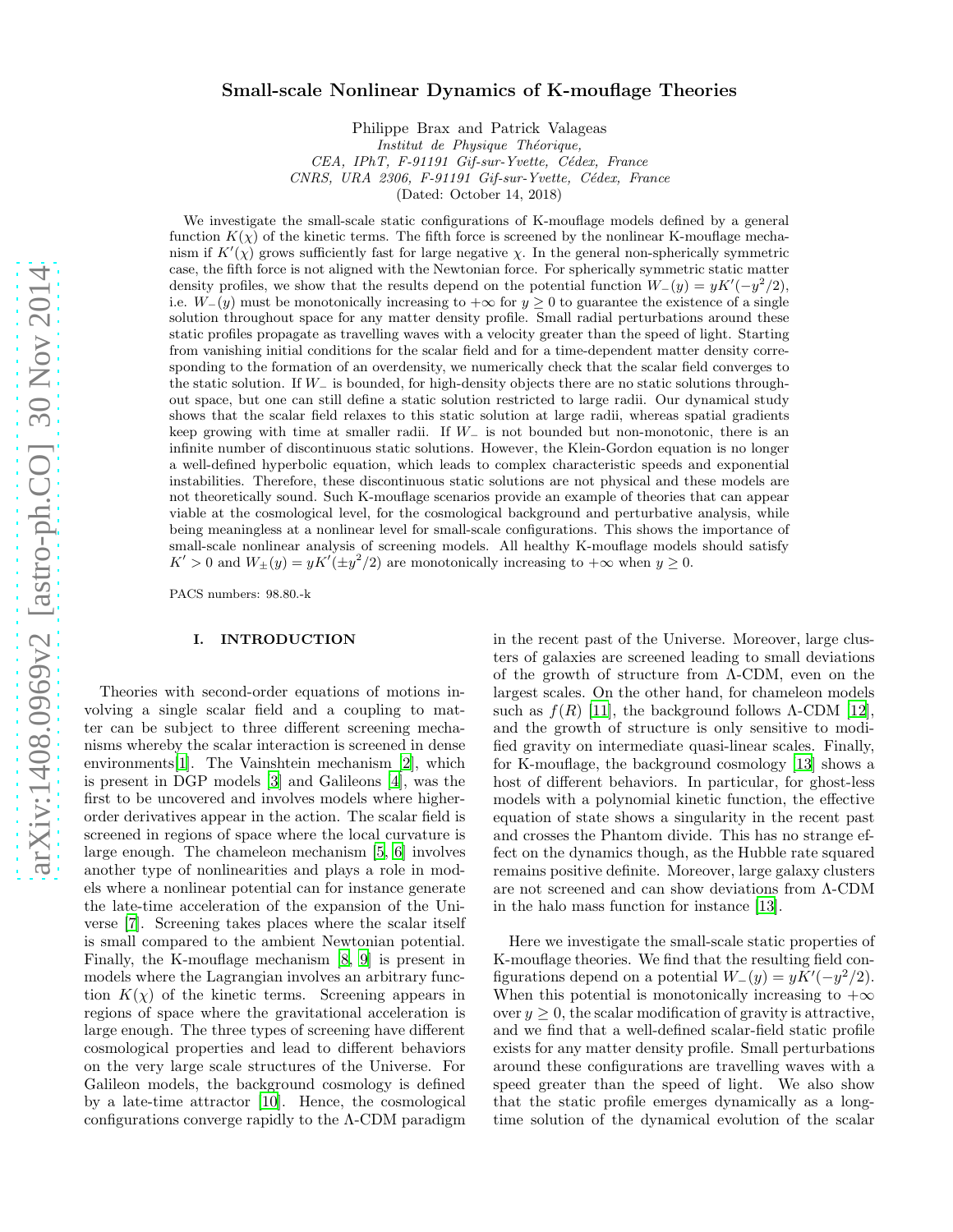# Small-scale Nonlinear Dynamics of K-mouflage Theories

Philippe Brax and Patrick Valageas *Institut de Physique Théorique, CEA, IPhT, F-91191 Gif-sur-Yvette, C´edex, France CNRS, URA 2306, F-91191 Gif-sur-Yvette, C´edex, France* (Dated: October 14, 2018)

We investigate the small-scale static configurations of K-mouflage models defined by a general function  $K(\chi)$  of the kinetic terms. The fifth force is screened by the nonlinear K-mouflage mechanism if  $K'(\chi)$  grows sufficiently fast for large negative  $\chi$ . In the general non-spherically symmetric case, the fifth force is not aligned with the Newtonian force. For spherically symmetric static matter density profiles, we show that the results depend on the potential function  $W_{-}(y) = yK'(-y^2/2)$ , i.e.  $W_-(y)$  must be monotonically increasing to  $+\infty$  for  $y \ge 0$  to guarantee the existence of a single solution throughout space for any matter density profile. Small radial perturbations around these static profiles propagate as travelling waves with a velocity greater than the speed of light. Starting from vanishing initial conditions for the scalar field and for a time-dependent matter density corresponding to the formation of an overdensity, we numerically check that the scalar field converges to the static solution. If W<sup>−</sup> is bounded, for high-density objects there are no static solutions throughout space, but one can still define a static solution restricted to large radii. Our dynamical study shows that the scalar field relaxes to this static solution at large radii, whereas spatial gradients keep growing with time at smaller radii. If  $W_-\$  is not bounded but non-monotonic, there is an infinite number of discontinuous static solutions. However, the Klein-Gordon equation is no longer a well-defined hyperbolic equation, which leads to complex characteristic speeds and exponential instabilities. Therefore, these discontinuous static solutions are not physical and these models are not theoretically sound. Such K-mouflage scenarios provide an example of theories that can appear viable at the cosmological level, for the cosmological background and perturbative analysis, while being meaningless at a nonlinear level for small-scale configurations. This shows the importance of small-scale nonlinear analysis of screening models. All healthy K-mouflage models should satisfy  $K' > 0$  and  $W_{\pm}(y) = yK'(\pm y^2/2)$  are monotonically increasing to  $+\infty$  when  $y \ge 0$ .

PACS numbers: 98.80.-k

## I. INTRODUCTION

Theories with second-order equations of motions involving a single scalar field and a coupling to matter can be subject to three different screening mechanisms whereby the scalar interaction is screened in dense environments[\[1\]](#page-19-0). The Vainshtein mechanism [\[2\]](#page-19-1), which is present in DGP models [\[3\]](#page-19-2) and Galileons [\[4](#page-19-3)], was the first to be uncovered and involves models where higherorder derivatives appear in the action. The scalar field is screened in regions of space where the local curvature is large enough. The chameleon mechanism [\[5](#page-19-4), [6\]](#page-19-5) involves another type of nonlinearities and plays a role in models where a nonlinear potential can for instance generate the late-time acceleration of the expansion of the Universe [\[7\]](#page-19-6). Screening takes places where the scalar itself is small compared to the ambient Newtonian potential. Finally, the K-mouflage mechanism [\[8](#page-19-7), [9\]](#page-19-8) is present in models where the Lagrangian involves an arbitrary function  $K(\chi)$  of the kinetic terms. Screening appears in regions of space where the gravitational acceleration is large enough. The three types of screening have different cosmological properties and lead to different behaviors on the very large scale structures of the Universe. For Galileon models, the background cosmology is defined by a late-time attractor [\[10](#page-19-9)]. Hence, the cosmological configurations converge rapidly to the Λ-CDM paradigm in the recent past of the Universe. Moreover, large clusters of galaxies are screened leading to small deviations of the growth of structure from Λ-CDM, even on the largest scales. On the other hand, for chameleon models such as  $f(R)$  [\[11\]](#page-19-10), the background follows  $\Lambda$ -CDM [\[12\]](#page-19-11), and the growth of structure is only sensitive to modified gravity on intermediate quasi-linear scales. Finally, for K-mouflage, the background cosmology [\[13\]](#page-19-12) shows a host of different behaviors. In particular, for ghost-less models with a polynomial kinetic function, the effective equation of state shows a singularity in the recent past and crosses the Phantom divide. This has no strange effect on the dynamics though, as the Hubble rate squared remains positive definite. Moreover, large galaxy clusters are not screened and can show deviations from Λ-CDM in the halo mass function for instance [\[13\]](#page-19-12).

Here we investigate the small-scale static properties of K-mouflage theories. We find that the resulting field configurations depend on a potential  $W_-(y) = yK'(-y^2/2)$ . When this potential is monotonically increasing to  $+\infty$ over  $y \geq 0$ , the scalar modification of gravity is attractive, and we find that a well-defined scalar-field static profile exists for any matter density profile. Small perturbations around these configurations are travelling waves with a speed greater than the speed of light. We also show that the static profile emerges dynamically as a longtime solution of the dynamical evolution of the scalar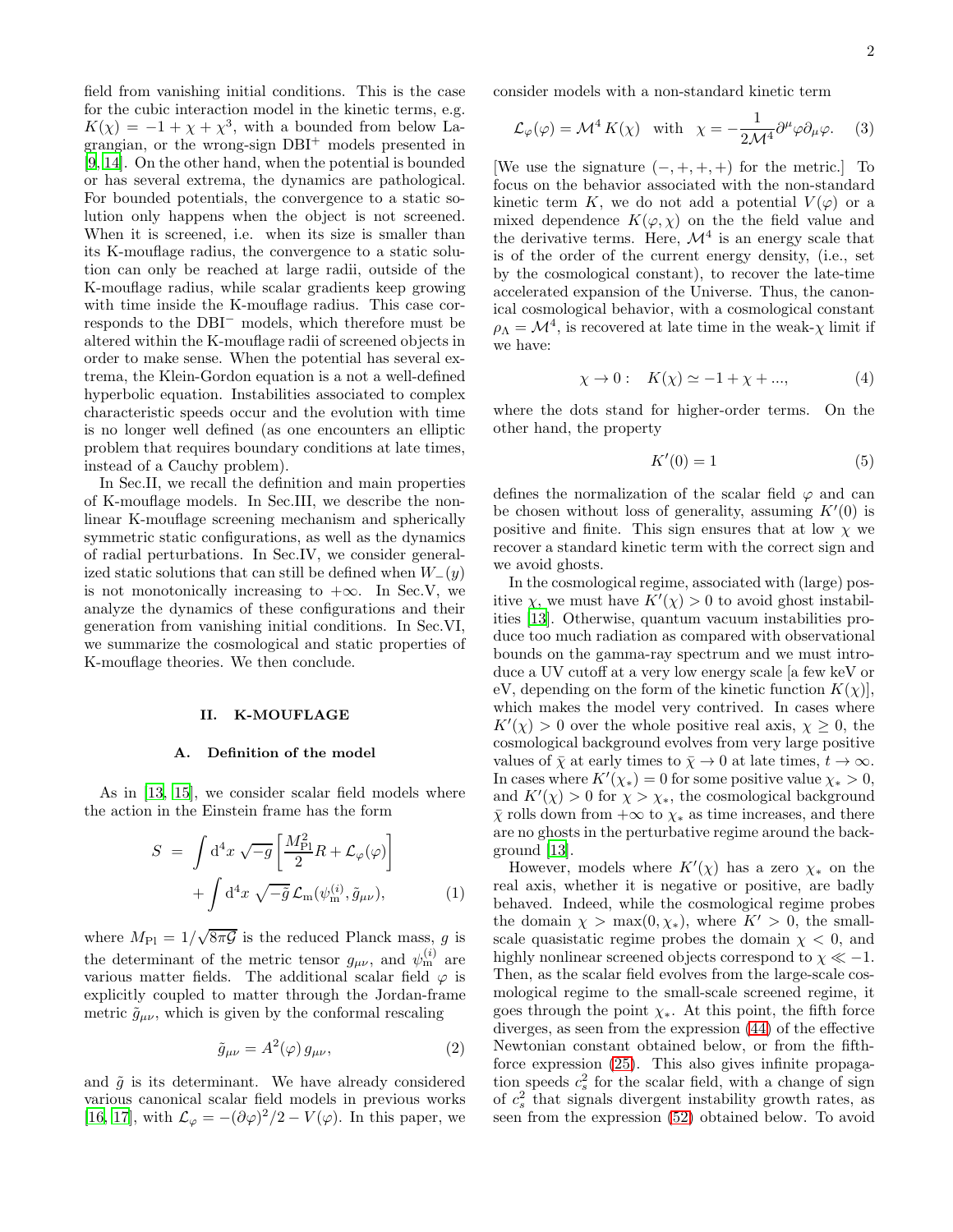field from vanishing initial conditions. This is the case for the cubic interaction model in the kinetic terms, e.g.  $K(\chi) = -1 + \chi + \chi^3$ , with a bounded from below Lagrangian, or the wrong-sign  $DBI<sup>+</sup>$  models presented in [\[9,](#page-19-8) [14\]](#page-19-13). On the other hand, when the potential is bounded or has several extrema, the dynamics are pathological. For bounded potentials, the convergence to a static solution only happens when the object is not screened. When it is screened, i.e. when its size is smaller than its K-mouflage radius, the convergence to a static solution can only be reached at large radii, outside of the K-mouflage radius, while scalar gradients keep growing with time inside the K-mouflage radius. This case corresponds to the DBI<sup>−</sup> models, which therefore must be altered within the K-mouflage radii of screened objects in order to make sense. When the potential has several extrema, the Klein-Gordon equation is a not a well-defined hyperbolic equation. Instabilities associated to complex characteristic speeds occur and the evolution with time is no longer well defined (as one encounters an elliptic problem that requires boundary conditions at late times, instead of a Cauchy problem).

In Sec.II, we recall the definition and main properties of K-mouflage models. In Sec.III, we describe the nonlinear K-mouflage screening mechanism and spherically symmetric static configurations, as well as the dynamics of radial perturbations. In Sec.IV, we consider generalized static solutions that can still be defined when  $W_-(y)$ is not monotonically increasing to  $+\infty$ . In Sec.V, we analyze the dynamics of these configurations and their generation from vanishing initial conditions. In Sec.VI, we summarize the cosmological and static properties of K-mouflage theories. We then conclude.

#### II. K-MOUFLAGE

#### A. Definition of the model

As in [\[13,](#page-19-12) [15\]](#page-19-14), we consider scalar field models where the action in the Einstein frame has the form

<span id="page-1-0"></span>
$$
S = \int d^4x \sqrt{-g} \left[ \frac{M_{\rm Pl}^2}{2} R + \mathcal{L}_{\varphi}(\varphi) \right] + \int d^4x \sqrt{-\tilde{g}} \mathcal{L}_{\rm m}(\psi_{\rm m}^{(i)}, \tilde{g}_{\mu\nu}), \qquad (1)
$$

where  $M_{\text{Pl}} = 1/\sqrt{8\pi\mathcal{G}}$  is the reduced Planck mass, g is the determinant of the metric tensor  $g_{\mu\nu}$ , and  $\psi_{m}^{(i)}$  are various matter fields. The additional scalar field  $\varphi$  is explicitly coupled to matter through the Jordan-frame metric  $\tilde{g}_{\mu\nu}$ , which is given by the conformal rescaling

$$
\tilde{g}_{\mu\nu} = A^2(\varphi) \, g_{\mu\nu},\tag{2}
$$

and  $\tilde{g}$  is its determinant. We have already considered various canonical scalar field models in previous works [\[16,](#page-19-15) [17\]](#page-19-16), with  $\mathcal{L}_{\varphi} = -(\partial \varphi)^2/2 - V(\varphi)$ . In this paper, we consider models with a non-standard kinetic term

$$
\mathcal{L}_{\varphi}(\varphi) = \mathcal{M}^4 K(\chi) \quad \text{with} \quad \chi = -\frac{1}{2\mathcal{M}^4} \partial^{\mu} \varphi \partial_{\mu} \varphi. \tag{3}
$$

[We use the signature  $(-, +, +, +)$  for the metric.] To focus on the behavior associated with the non-standard kinetic term K, we do not add a potential  $V(\varphi)$  or a mixed dependence  $K(\varphi, \chi)$  on the the field value and the derivative terms. Here,  $\mathcal{M}^4$  is an energy scale that is of the order of the current energy density, (i.e., set by the cosmological constant), to recover the late-time accelerated expansion of the Universe. Thus, the canonical cosmological behavior, with a cosmological constant  $\rho_{\Lambda} = \mathcal{M}^4$ , is recovered at late time in the weak- $\chi$  limit if we have:

<span id="page-1-1"></span>
$$
\chi \to 0: \quad K(\chi) \simeq -1 + \chi + \dots,\tag{4}
$$

where the dots stand for higher-order terms. On the other hand, the property

$$
K'(0) = 1\tag{5}
$$

defines the normalization of the scalar field  $\varphi$  and can be chosen without loss of generality, assuming  $K'(0)$  is positive and finite. This sign ensures that at low  $\chi$  we recover a standard kinetic term with the correct sign and we avoid ghosts.

In the cosmological regime, associated with (large) positive  $\chi$ , we must have  $K'(\chi) > 0$  to avoid ghost instabilities [\[13](#page-19-12)]. Otherwise, quantum vacuum instabilities produce too much radiation as compared with observational bounds on the gamma-ray spectrum and we must introduce a UV cutoff at a very low energy scale [a few keV or eV, depending on the form of the kinetic function  $K(\chi)$ , which makes the model very contrived. In cases where  $K'(\chi) > 0$  over the whole positive real axis,  $\chi \geq 0$ , the cosmological background evolves from very large positive values of  $\bar{\chi}$  at early times to  $\bar{\chi} \to 0$  at late times,  $t \to \infty$ . In cases where  $K'(\chi_*) = 0$  for some positive value  $\chi_* > 0$ , and  $K'(\chi) > 0$  for  $\chi > \chi_*$ , the cosmological background  $\bar{\chi}$  rolls down from  $+\infty$  to  $\chi_*$  as time increases, and there are no ghosts in the perturbative regime around the background [\[13\]](#page-19-12).

However, models where  $K'(\chi)$  has a zero  $\chi_*$  on the real axis, whether it is negative or positive, are badly behaved. Indeed, while the cosmological regime probes the domain  $\chi > \max(0, \chi_*)$ , where  $K' > 0$ , the smallscale quasistatic regime probes the domain  $\chi$  < 0, and highly nonlinear screened objects correspond to  $\chi \ll -1$ . Then, as the scalar field evolves from the large-scale cosmological regime to the small-scale screened regime, it goes through the point  $\chi_*$ . At this point, the fifth force diverges, as seen from the expression [\(44\)](#page-5-0) of the effective Newtonian constant obtained below, or from the fifthforce expression [\(25\)](#page-3-0). This also gives infinite propagation speeds  $c_s^2$  for the scalar field, with a change of sign of  $c_s^2$  that signals divergent instability growth rates, as seen from the expression [\(52\)](#page-6-0) obtained below. To avoid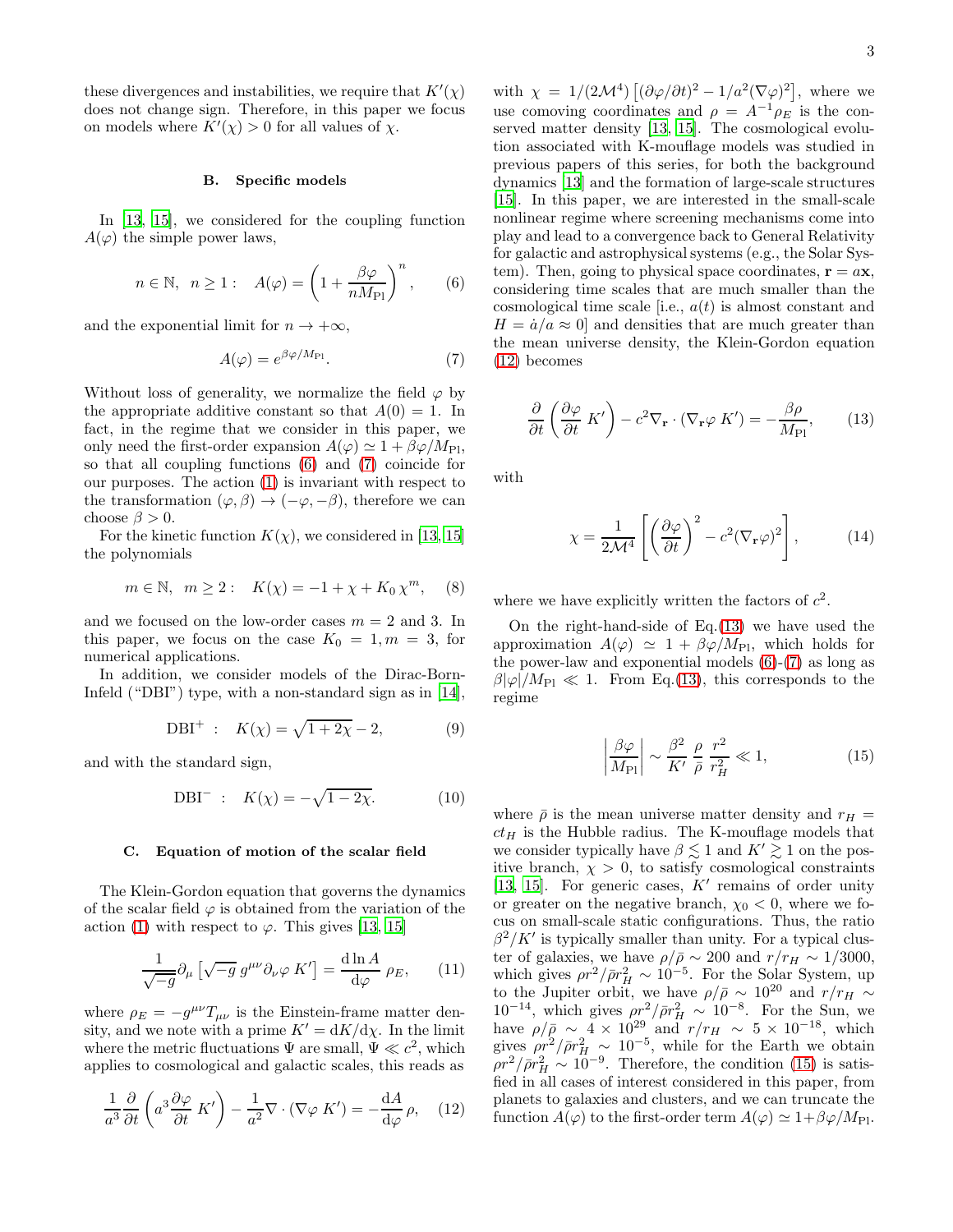these divergences and instabilities, we require that  $K'(\chi)$ does not change sign. Therefore, in this paper we focus on models where  $K'(\chi) > 0$  for all values of  $\chi$ .

#### B. Specific models

In [\[13,](#page-19-12) [15\]](#page-19-14), we considered for the coupling function  $A(\varphi)$  the simple power laws,

<span id="page-2-0"></span>
$$
n \in \mathbb{N}, \quad n \ge 1: \quad A(\varphi) = \left(1 + \frac{\beta \varphi}{n M_{\text{Pl}}}\right)^n, \quad (6)
$$

and the exponential limit for  $n \to +\infty$ ,

<span id="page-2-1"></span>
$$
A(\varphi) = e^{\beta \varphi / M_{\rm Pl}}.\tag{7}
$$

Without loss of generality, we normalize the field  $\varphi$  by the appropriate additive constant so that  $A(0) = 1$ . In fact, in the regime that we consider in this paper, we only need the first-order expansion  $A(\varphi) \simeq 1 + \beta \varphi / M_{\text{Pl}}$ , so that all coupling functions [\(6\)](#page-2-0) and [\(7\)](#page-2-1) coincide for our purposes. The action [\(1\)](#page-1-0) is invariant with respect to the transformation  $(\varphi, \beta) \to (-\varphi, -\beta)$ , therefore we can choose  $\beta > 0$ .

For the kinetic function  $K(\chi)$ , we considered in [\[13](#page-19-12), [15](#page-19-14)] the polynomials

<span id="page-2-5"></span>
$$
m \in \mathbb{N}, m \ge 2: K(\chi) = -1 + \chi + K_0 \chi^m,
$$
 (8)

and we focused on the low-order cases  $m = 2$  and 3. In this paper, we focus on the case  $K_0 = 1, m = 3$ , for numerical applications.

In addition, we consider models of the Dirac-Born-Infeld ("DBI") type, with a non-standard sign as in [\[14\]](#page-19-13),

<span id="page-2-6"></span>DBI<sup>+</sup> : 
$$
K(\chi) = \sqrt{1 + 2\chi} - 2,
$$
 (9)

and with the standard sign,

<span id="page-2-8"></span>DBI<sup>-</sup> : 
$$
K(\chi) = -\sqrt{1 - 2\chi}
$$
. (10)

#### C. Equation of motion of the scalar field

The Klein-Gordon equation that governs the dynamics of the scalar field  $\varphi$  is obtained from the variation of the action [\(1\)](#page-1-0) with respect to  $\varphi$ . This gives [\[13,](#page-19-12) [15\]](#page-19-14)

$$
\frac{1}{\sqrt{-g}} \partial_{\mu} \left[ \sqrt{-g} \, g^{\mu \nu} \partial_{\nu} \varphi \, K' \right] = \frac{\mathrm{d} \ln A}{\mathrm{d} \varphi} \, \rho_E, \qquad (11)
$$

where  $\rho_E = -g^{\mu\nu}T_{\mu\nu}$  is the Einstein-frame matter density, and we note with a prime  $K' = dK/d\chi$ . In the limit where the metric fluctuations  $\Psi$  are small,  $\Psi \ll c^2$ , which applies to cosmological and galactic scales, this reads as

<span id="page-2-2"></span>
$$
\frac{1}{a^3} \frac{\partial}{\partial t} \left( a^3 \frac{\partial \varphi}{\partial t} K' \right) - \frac{1}{a^2} \nabla \cdot (\nabla \varphi K') = -\frac{dA}{d\varphi} \rho, \quad (12)
$$

with  $\chi = 1/(2\mathcal{M}^4) \left[ (\partial \varphi / \partial t)^2 - 1/a^2 (\nabla \varphi)^2 \right]$ , where we use comoving coordinates and  $\rho = A^{-1} \rho_E$  is the conserved matter density [\[13,](#page-19-12) [15\]](#page-19-14). The cosmological evolution associated with K-mouflage models was studied in previous papers of this series, for both the background dynamics [\[13](#page-19-12)] and the formation of large-scale structures [\[15\]](#page-19-14). In this paper, we are interested in the small-scale nonlinear regime where screening mechanisms come into play and lead to a convergence back to General Relativity for galactic and astrophysical systems (e.g., the Solar System). Then, going to physical space coordinates,  $\mathbf{r} = a\mathbf{x}$ , considering time scales that are much smaller than the cosmological time scale [i.e.,  $a(t)$  is almost constant and  $H = \dot{a}/a \approx 0$  and densities that are much greater than the mean universe density, the Klein-Gordon equation [\(12\)](#page-2-2) becomes

<span id="page-2-3"></span>
$$
\frac{\partial}{\partial t} \left( \frac{\partial \varphi}{\partial t} K' \right) - c^2 \nabla_{\mathbf{r}} \cdot (\nabla_{\mathbf{r}} \varphi K') = -\frac{\beta \rho}{M_{\text{Pl}}},\qquad(13)
$$

with

<span id="page-2-7"></span>
$$
\chi = \frac{1}{2\mathcal{M}^4} \left[ \left( \frac{\partial \varphi}{\partial t} \right)^2 - c^2 (\nabla_{\mathbf{r}} \varphi)^2 \right],\tag{14}
$$

where we have explicitly written the factors of  $c^2$ .

On the right-hand-side of  $Eq.(13)$  $Eq.(13)$  we have used the approximation  $A(\varphi) \simeq 1 + \beta \varphi / M_{\text{Pl}}$ , which holds for the power-law and exponential models [\(6\)](#page-2-0)-[\(7\)](#page-2-1) as long as  $\beta|\varphi|/M_{\text{Pl}} \ll 1$ . From Eq.[\(13\)](#page-2-3), this corresponds to the regime

<span id="page-2-4"></span>
$$
\left|\frac{\beta\varphi}{M_{\rm Pl}}\right| \sim \frac{\beta^2}{K'} \frac{\rho}{\bar{\rho}} \frac{r^2}{r_H^2} \ll 1,
$$
\n(15)

where  $\bar{\rho}$  is the mean universe matter density and  $r_H =$  $ct_H$  is the Hubble radius. The K-mouflage models that we consider typically have  $\beta \lesssim 1$  and  $K' \gtrsim 1$  on the positive branch,  $\chi > 0$ , to satisfy cosmological constraints [\[13,](#page-19-12) [15](#page-19-14)]. For generic cases,  $K'$  remains of order unity or greater on the negative branch,  $\chi_0 < 0$ , where we focus on small-scale static configurations. Thus, the ratio  $\beta^2/K'$  is typically smaller than unity. For a typical cluster of galaxies, we have  $\rho/\bar{\rho} \sim 200$  and  $r/r_H \sim 1/3000$ , which gives  $\rho r^2 / \bar{\rho} r_H^2 \sim 10^{-5}$ . For the Solar System, up to the Jupiter orbit, we have  $\rho/\bar{\rho} \sim 10^{20}$  and  $r/r_H \sim$  $10^{-14}$ , which gives  $\rho r_H^2 / \bar{\rho} r_H^2 \sim 10^{-8}$ . For the Sun, we have  $\rho/\bar{\rho} \sim 4 \times 10^{29}$  and  $r/r_H \sim 5 \times 10^{-18}$ , which gives  $\rho r^2 / \bar{\rho} r_H^2 \sim 10^{-5}$ , while for the Earth we obtain  $\rho r^2/\bar{\rho} r_H^2 \sim 10^{-9}$ . Therefore, the condition [\(15\)](#page-2-4) is satisfied in all cases of interest considered in this paper, from planets to galaxies and clusters, and we can truncate the function  $A(\varphi)$  to the first-order term  $A(\varphi) \simeq 1 + \beta \varphi / M_{\text{Pl}}$ .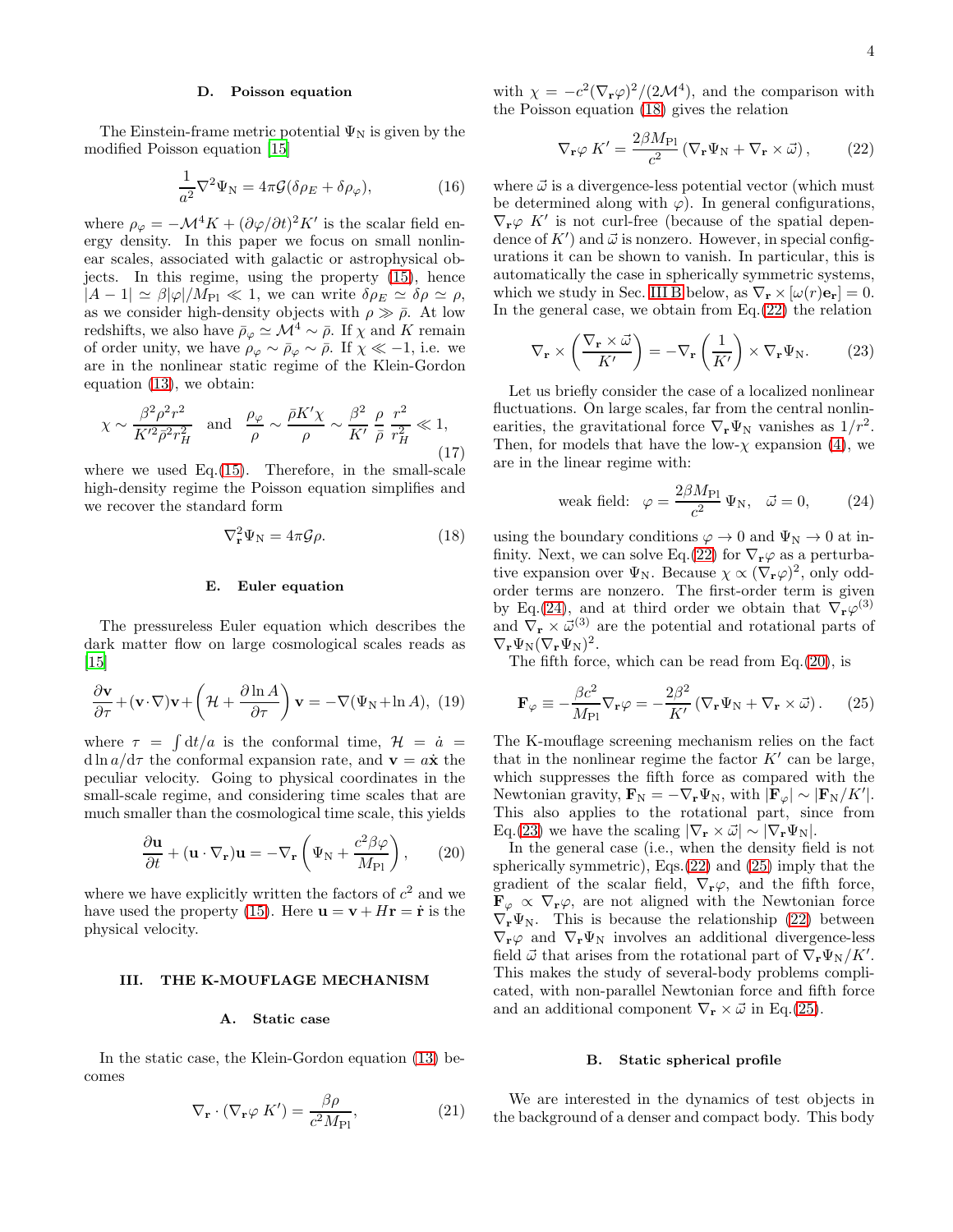## D. Poisson equation

The Einstein-frame metric potential  $\Psi_N$  is given by the modified Poisson equation [\[15](#page-19-14)]

$$
\frac{1}{a^2}\nabla^2\Psi_N = 4\pi\mathcal{G}(\delta\rho_E + \delta\rho_\varphi),\tag{16}
$$

where  $\rho_{\varphi} = -\mathcal{M}^4 K + (\partial \varphi/\partial t)^2 K'$  is the scalar field energy density. In this paper we focus on small nonlinear scales, associated with galactic or astrophysical objects. In this regime, using the property [\(15\)](#page-2-4), hence  $|A-1| \simeq \beta |\varphi|/M_{\rm Pl} \ll 1$ , we can write  $\delta \rho_E \simeq \delta \rho \simeq \rho$ , as we consider high-density objects with  $\rho \gg \bar{\rho}$ . At low redshifts, we also have  $\bar{\rho}_{\varphi} \simeq \mathcal{M}^4 \sim \bar{\rho}$ . If  $\chi$  and K remain of order unity, we have  $\rho_{\varphi} \sim \bar{\rho}_{\varphi} \sim \bar{\rho}$ . If  $\chi \ll -1$ , i.e. we are in the nonlinear static regime of the Klein-Gordon equation [\(13\)](#page-2-3), we obtain:

$$
\chi \sim \frac{\beta^2 \rho^2 r^2}{K'^2 \bar{\rho}^2 r_H^2} \quad \text{and} \quad \frac{\rho_{\varphi}}{\rho} \sim \frac{\bar{\rho} K' \chi}{\rho} \sim \frac{\beta^2}{K'} \frac{\rho}{\bar{\rho}} \frac{r^2}{r_H^2} \ll 1,
$$
\n(17)

where we used Eq. $(15)$ . Therefore, in the small-scale high-density regime the Poisson equation simplifies and we recover the standard form

<span id="page-3-1"></span>
$$
\nabla_{\mathbf{r}}^2 \Psi_{\mathbf{N}} = 4\pi \mathcal{G} \rho. \tag{18}
$$

### E. Euler equation

The pressureless Euler equation which describes the dark matter flow on large cosmological scales reads as  $\vert 15 \vert$ 

$$
\frac{\partial \mathbf{v}}{\partial \tau} + (\mathbf{v} \cdot \nabla) \mathbf{v} + \left( \mathcal{H} + \frac{\partial \ln A}{\partial \tau} \right) \mathbf{v} = -\nabla (\Psi_N + \ln A), \tag{19}
$$

where  $\tau = \int dt/a$  is the conformal time,  $\mathcal{H} = a$ d ln  $a/d\tau$  the conformal expansion rate, and  $\mathbf{v} = a\dot{\mathbf{x}}$  the peculiar velocity. Going to physical coordinates in the small-scale regime, and considering time scales that are much smaller than the cosmological time scale, this yields

<span id="page-3-5"></span>
$$
\frac{\partial \mathbf{u}}{\partial t} + (\mathbf{u} \cdot \nabla_{\mathbf{r}}) \mathbf{u} = -\nabla_{\mathbf{r}} \left( \Psi_{\mathbf{N}} + \frac{c^2 \beta \varphi}{M_{\text{Pl}}} \right), \qquad (20)
$$

where we have explicitly written the factors of  $c^2$  and we have used the property [\(15\)](#page-2-4). Here  $\mathbf{u} = \mathbf{v} + H\mathbf{r} = \dot{\mathbf{r}}$  is the physical velocity.

#### <span id="page-3-8"></span>III. THE K-MOUFLAGE MECHANISM

# A. Static case

In the static case, the Klein-Gordon equation [\(13\)](#page-2-3) becomes

<span id="page-3-7"></span>
$$
\nabla_{\mathbf{r}} \cdot (\nabla_{\mathbf{r}} \varphi \, K') = \frac{\beta \rho}{c^2 M_{\text{Pl}}},\tag{21}
$$

with  $\chi = -c^2(\nabla_{\mathbf{r}}\varphi)^2/(2\mathcal{M}^4)$ , and the comparison with the Poisson equation [\(18\)](#page-3-1) gives the relation

<span id="page-3-3"></span>
$$
\nabla_{\mathbf{r}} \varphi \, K' = \frac{2\beta M_{\rm Pl}}{c^2} \left( \nabla_{\mathbf{r}} \Psi_{\rm N} + \nabla_{\mathbf{r}} \times \vec{\omega} \right),\tag{22}
$$

where  $\vec{\omega}$  is a divergence-less potential vector (which must be determined along with  $\varphi$ ). In general configurations,  $\nabla_{\mathbf{r}} \varphi$  K' is not curl-free (because of the spatial dependence of  $K'$  and  $\vec{\omega}$  is nonzero. However, in special configurations it can be shown to vanish. In particular, this is automatically the case in spherically symmetric systems, which we study in Sec. [III B](#page-3-2) below, as  $\nabla_{\mathbf{r}} \times [\omega(r)\mathbf{e}_{\mathbf{r}}] = 0$ . In the general case, we obtain from  $Eq.(22)$  $Eq.(22)$  the relation

<span id="page-3-6"></span>
$$
\nabla_{\mathbf{r}} \times \left( \frac{\nabla_{\mathbf{r}} \times \vec{\omega}}{K'} \right) = -\nabla_{\mathbf{r}} \left( \frac{1}{K'} \right) \times \nabla_{\mathbf{r}} \Psi_{\text{N}}.
$$
 (23)

Let us briefly consider the case of a localized nonlinear fluctuations. On large scales, far from the central nonlinearities, the gravitational force  $\nabla_{\mathbf{r}} \Psi_{N}$  vanishes as  $1/r^{2}$ . Then, for models that have the low- $\chi$  expansion [\(4\)](#page-1-1), we are in the linear regime with:

<span id="page-3-4"></span>weak field: 
$$
\varphi = \frac{2\beta M_{\text{Pl}}}{c^2} \Psi_N, \quad \vec{\omega} = 0,
$$
 (24)

using the boundary conditions  $\varphi \to 0$  and  $\Psi_N \to 0$  at in-finity. Next, we can solve Eq.[\(22\)](#page-3-3) for  $\nabla_{\mathbf{r}}\varphi$  as a perturbative expansion over  $\Psi_N$ . Because  $\chi \propto (\nabla_r \varphi)^2$ , only oddorder terms are nonzero. The first-order term is given by Eq.[\(24\)](#page-3-4), and at third order we obtain that  $\nabla_{\mathbf{r}}\varphi^{(3)}$ and  $\nabla_{\mathbf{r}} \times \vec{\omega}^{(3)}$  are the potential and rotational parts of  $\nabla_{\mathbf{r}} \Psi_{\mathbf{N}} (\nabla_{\mathbf{r}} \Psi_{\mathbf{N}})^2.$ 

The fifth force, which can be read from Eq.[\(20\)](#page-3-5), is

<span id="page-3-0"></span>
$$
\mathbf{F}_{\varphi} \equiv -\frac{\beta c^2}{M_{\text{Pl}}} \nabla_{\mathbf{r}} \varphi = -\frac{2\beta^2}{K'} \left( \nabla_{\mathbf{r}} \Psi_{\text{N}} + \nabla_{\mathbf{r}} \times \vec{\omega} \right). \tag{25}
$$

The K-mouflage screening mechanism relies on the fact that in the nonlinear regime the factor  $K'$  can be large, which suppresses the fifth force as compared with the Newtonian gravity,  $\mathbf{F}_{N} = -\nabla_{\mathbf{r}} \Psi_{N}$ , with  $|\mathbf{F}_{\varphi}| \sim |\mathbf{F}_{N}/K'|$ . This also applies to the rotational part, since from Eq.[\(23\)](#page-3-6) we have the scaling  $|\nabla_{\mathbf{r}} \times \vec{\omega}| \sim |\nabla_{\mathbf{r}} \Psi_{N}|.$ 

In the general case (i.e., when the density field is not spherically symmetric), Eqs.[\(22\)](#page-3-3) and [\(25\)](#page-3-0) imply that the gradient of the scalar field,  $\nabla_{\mathbf{r}}\varphi$ , and the fifth force,  $\mathbf{F}_{\varphi} \propto \nabla_{\mathbf{r}} \varphi$ , are not aligned with the Newtonian force  $\nabla_{\mathbf{r}}\Psi_{N}$ . This is because the relationship [\(22\)](#page-3-3) between  $\nabla_{\mathbf{r}}\varphi$  and  $\nabla_{\mathbf{r}}\Psi_N$  involves an additional divergence-less field  $\vec{\omega}$  that arises from the rotational part of  $\nabla_{\mathbf{r}} \Psi_{N}/K'$ . This makes the study of several-body problems complicated, with non-parallel Newtonian force and fifth force and an additional component  $\nabla_{\mathbf{r}} \times \vec{\omega}$  in Eq.[\(25\)](#page-3-0).

# <span id="page-3-2"></span>B. Static spherical profile

We are interested in the dynamics of test objects in the background of a denser and compact body. This body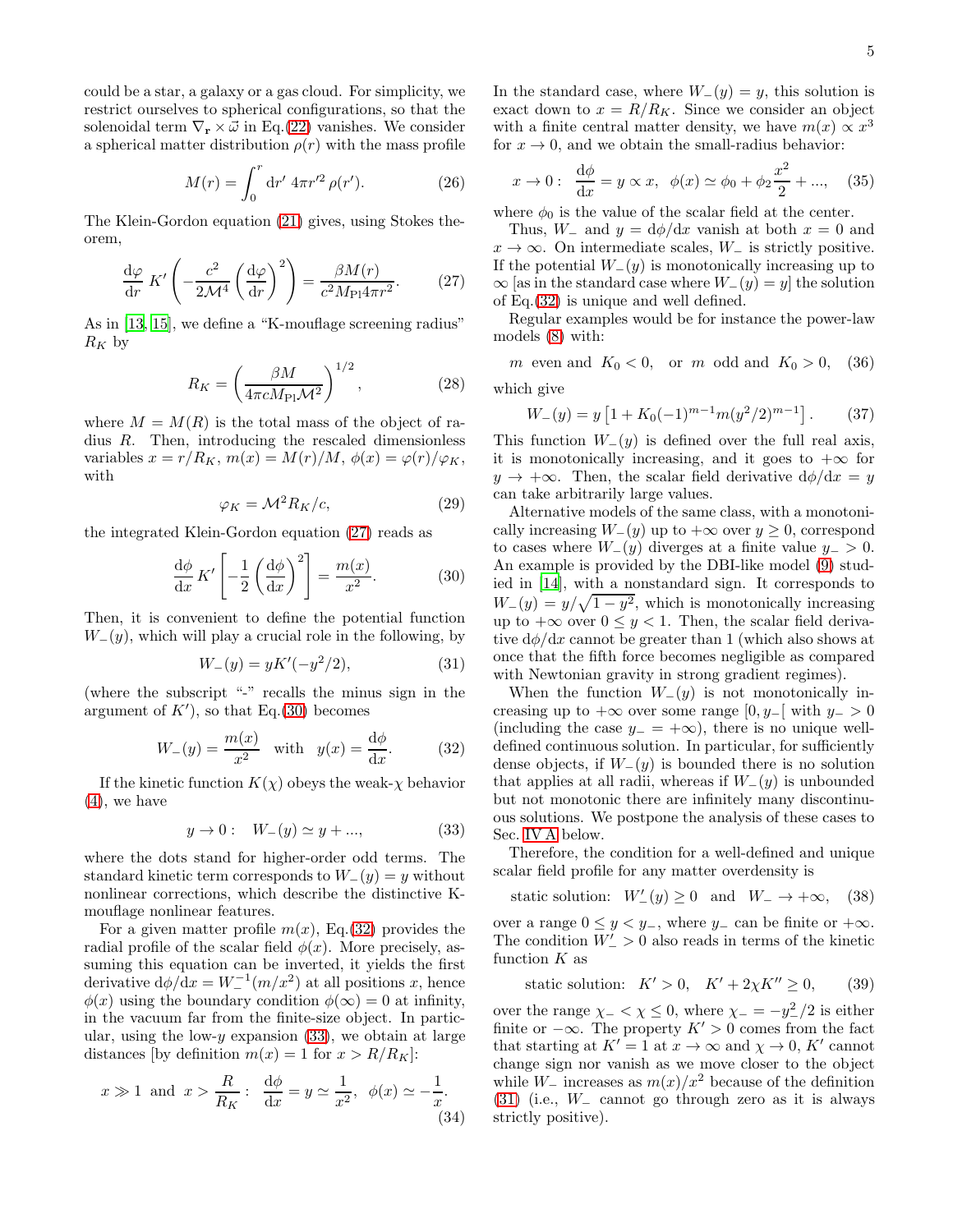could be a star, a galaxy or a gas cloud. For simplicity, we restrict ourselves to spherical configurations, so that the solenoidal term  $\nabla_{\mathbf{r}} \times \vec{\omega}$  in Eq.[\(22\)](#page-3-3) vanishes. We consider a spherical matter distribution  $\rho(r)$  with the mass profile

$$
M(r) = \int_0^r \mathrm{d}r' \, 4\pi r'^2 \, \rho(r'). \tag{26}
$$

The Klein-Gordon equation [\(21\)](#page-3-7) gives, using Stokes theorem,

<span id="page-4-0"></span>
$$
\frac{\mathrm{d}\varphi}{\mathrm{d}r} K' \left( -\frac{c^2}{2\mathcal{M}^4} \left( \frac{\mathrm{d}\varphi}{\mathrm{d}r} \right)^2 \right) = \frac{\beta M(r)}{c^2 M_{\text{Pl}} 4\pi r^2}.
$$
 (27)

As in [\[13](#page-19-12), [15\]](#page-19-14), we define a "K-mouflage screening radius"  $R_K$  by

<span id="page-4-7"></span>
$$
R_K = \left(\frac{\beta M}{4\pi c M_{\rm Pl} \mathcal{M}^2}\right)^{1/2},\tag{28}
$$

where  $M = M(R)$  is the total mass of the object of radius R. Then, introducing the rescaled dimensionless variables  $x = r/R_K$ ,  $m(x) = M(r)/M$ ,  $\phi(x) = \varphi(r)/\varphi_K$ , with

<span id="page-4-10"></span>
$$
\varphi_K = \mathcal{M}^2 R_K / c,\tag{29}
$$

the integrated Klein-Gordon equation [\(27\)](#page-4-0) reads as

<span id="page-4-1"></span>
$$
\frac{d\phi}{dx} K' \left[ -\frac{1}{2} \left( \frac{d\phi}{dx} \right)^2 \right] = \frac{m(x)}{x^2}.
$$
 (30)

Then, it is convenient to define the potential function  $W_-(y)$ , which will play a crucial role in the following, by

<span id="page-4-4"></span>
$$
W_{-}(y) = yK'(-y^2/2), \tag{31}
$$

(where the subscript "-" recalls the minus sign in the argument of  $K'$ , so that Eq.[\(30\)](#page-4-1) becomes

<span id="page-4-2"></span>
$$
W_{-}(y) = \frac{m(x)}{x^2} \quad \text{with} \quad y(x) = \frac{d\phi}{dx}.\tag{32}
$$

If the kinetic function  $K(\chi)$  obeys the weak- $\chi$  behavior [\(4\)](#page-1-1), we have

<span id="page-4-3"></span>
$$
y \to 0:
$$
  $W_{-}(y) \simeq y + ...,$  (33)

where the dots stand for higher-order odd terms. The standard kinetic term corresponds to  $W_-(y) = y$  without nonlinear corrections, which describe the distinctive Kmouflage nonlinear features.

For a given matter profile  $m(x)$ , Eq.[\(32\)](#page-4-2) provides the radial profile of the scalar field  $\phi(x)$ . More precisely, assuming this equation can be inverted, it yields the first derivative  $d\phi/dx = W_-^{-1}(m/x^2)$  at all positions x, hence  $\phi(x)$  using the boundary condition  $\phi(\infty) = 0$  at infinity, in the vacuum far from the finite-size object. In particular, using the low- $y$  expansion [\(33\)](#page-4-3), we obtain at large distances [by definition  $m(x) = 1$  for  $x > R/R<sub>K</sub>$ ]:

<span id="page-4-6"></span>
$$
x \gg 1
$$
 and  $x > \frac{R}{R_K}$ :  $\frac{d\phi}{dx} = y \simeq \frac{1}{x^2}$ ,  $\phi(x) \simeq -\frac{1}{x}$ . (34)

In the standard case, where  $W_-(y) = y$ , this solution is exact down to  $x = R/R_K$ . Since we consider an object with a finite central matter density, we have  $m(x) \propto x^3$ for  $x \to 0$ , and we obtain the small-radius behavior:

$$
x \to 0
$$
:  $\frac{d\phi}{dx} = y \propto x$ ,  $\phi(x) \simeq \phi_0 + \phi_2 \frac{x^2}{2} + ...,$  (35)

where  $\phi_0$  is the value of the scalar field at the center.

Thus,  $W_-\$  and  $y = d\phi/dx$  vanish at both  $x = 0$  and  $x \to \infty$ . On intermediate scales,  $W_$  is strictly positive. If the potential  $W_-(y)$  is monotonically increasing up to  $\infty$  [as in the standard case where  $W_-(y) = y$ ] the solution of Eq.[\(32\)](#page-4-2) is unique and well defined.

Regular examples would be for instance the power-law models [\(8\)](#page-2-5) with:

<span id="page-4-5"></span>m even and  $K_0 < 0$ , or m odd and  $K_0 > 0$ , (36) which give

$$
W_{-}(y) = y \left[ 1 + K_0(-1)^{m-1} m (y^2/2)^{m-1} \right].
$$
 (37)

This function  $W_-(y)$  is defined over the full real axis, it is monotonically increasing, and it goes to  $+\infty$  for  $y \rightarrow +\infty$ . Then, the scalar field derivative  $d\phi/dx = y$ can take arbitrarily large values.

Alternative models of the same class, with a monotonically increasing  $W_-(y)$  up to  $+\infty$  over  $y \ge 0$ , correspond to cases where  $W_-(y)$  diverges at a finite value  $y_->0$ . An example is provided by the DBI-like model [\(9\)](#page-2-6) studied in [\[14\]](#page-19-13), with a nonstandard sign. It corresponds to  $W_{-}(y) = y/\sqrt{1-y^2}$ , which is monotonically increasing up to  $+\infty$  over  $0 \leq y < 1$ . Then, the scalar field derivative  $d\phi/dx$  cannot be greater than 1 (which also shows at once that the fifth force becomes negligible as compared with Newtonian gravity in strong gradient regimes).

When the function  $W_-(y)$  is not monotonically increasing up to  $+\infty$  over some range  $[0, y_$ [ with  $y_$  > 0 (including the case  $y = +\infty$ ), there is no unique welldefined continuous solution. In particular, for sufficiently dense objects, if  $W_-(y)$  is bounded there is no solution that applies at all radii, whereas if  $W_-(y)$  is unbounded but not monotonic there are infinitely many discontinuous solutions. We postpone the analysis of these cases to Sec. [IV A](#page-7-0) below.

Therefore, the condition for a well-defined and unique scalar field profile for any matter overdensity is

<span id="page-4-8"></span>static solution:  $W'_{-}(y) \ge 0$  and  $W_{-} \to +\infty$ , (38)

over a range  $0 \leq y \leq y_-,$  where  $y_-\$ can be finite or  $+\infty$ . The condition  $W'_{-} > 0$  also reads in terms of the kinetic function  $K$  as

<span id="page-4-9"></span>
$$
static solution: K' > 0, K' + 2\chi K'' \ge 0,
$$
 (39)

over the range  $\chi$  – <  $\chi$  ≤ 0, where  $\chi$  – =  $-y_-^2/2$  is either finite or  $-\infty$ . The property  $K' > 0$  comes from the fact that starting at  $K' = 1$  at  $x \to \infty$  and  $\chi \to 0$ ,  $K'$  cannot change sign nor vanish as we move closer to the object while W<sub> $\equiv$ </sub> increases as  $m(x)/x^2$  because of the definition [\(31\)](#page-4-4) (i.e., W<sup>−</sup> cannot go through zero as it is always strictly positive).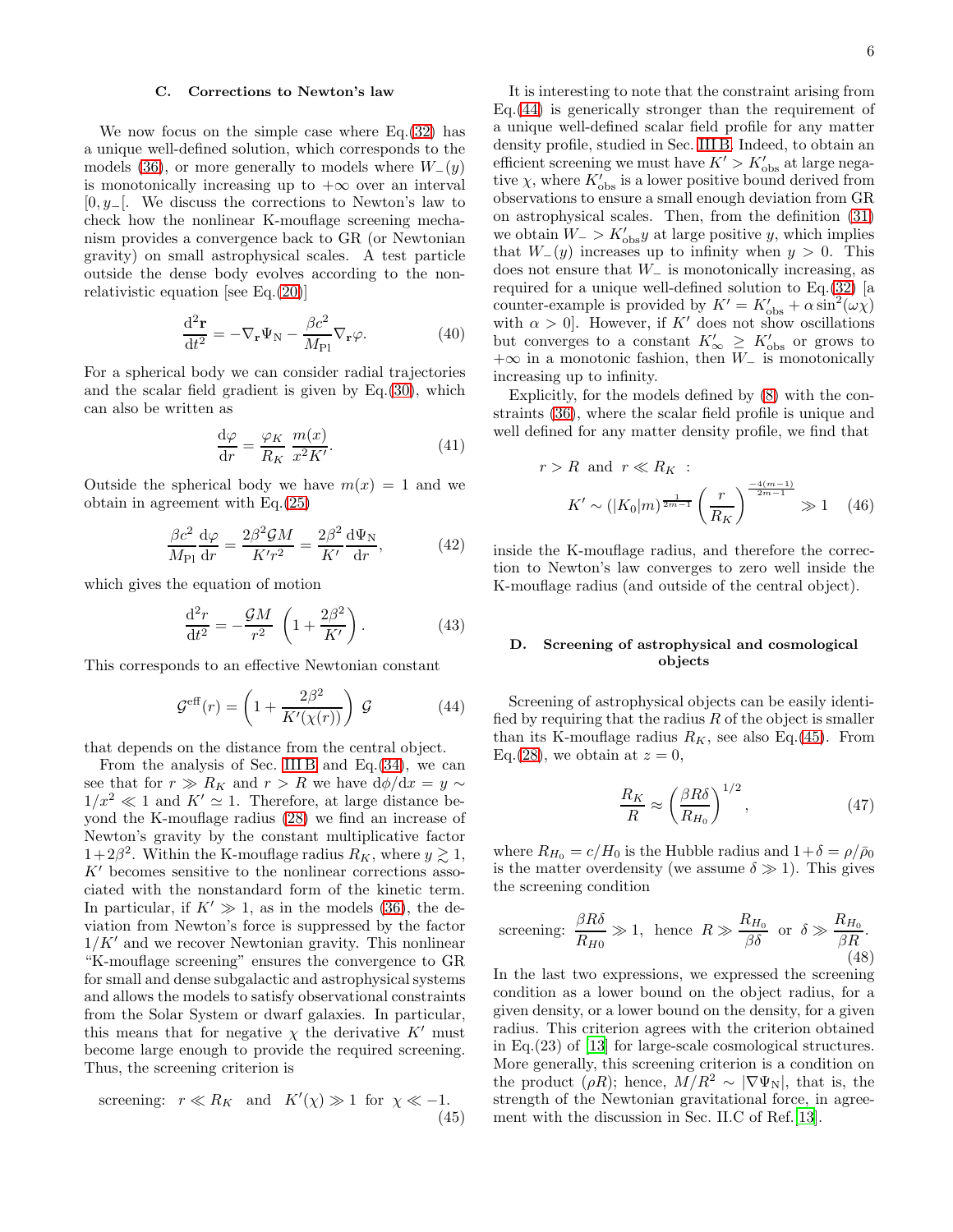#### C. Corrections to Newton's law

We now focus on the simple case where Eq.[\(32\)](#page-4-2) has a unique well-defined solution, which corresponds to the models [\(36\)](#page-4-5), or more generally to models where  $W_-(y)$ is monotonically increasing up to  $+\infty$  over an interval [0, y−[. We discuss the corrections to Newton's law to check how the nonlinear K-mouflage screening mechanism provides a convergence back to GR (or Newtonian gravity) on small astrophysical scales. A test particle outside the dense body evolves according to the nonrelativistic equation [see Eq.[\(20\)](#page-3-5)]

<span id="page-5-2"></span>
$$
\frac{\mathrm{d}^2 \mathbf{r}}{\mathrm{d}t^2} = -\nabla_{\mathbf{r}} \Psi_{\mathbf{N}} - \frac{\beta c^2}{M_{\rm Pl}} \nabla_{\mathbf{r}} \varphi.
$$
 (40)

For a spherical body we can consider radial trajectories and the scalar field gradient is given by Eq.[\(30\)](#page-4-1), which can also be written as

$$
\frac{\mathrm{d}\varphi}{\mathrm{d}r} = \frac{\varphi_K}{R_K} \frac{m(x)}{x^2 K'}.\tag{41}
$$

Outside the spherical body we have  $m(x) = 1$  and we obtain in agreement with Eq.[\(25\)](#page-3-0)

$$
\frac{\beta c^2}{M_{\rm Pl}} \frac{\mathrm{d}\varphi}{\mathrm{d}r} = \frac{2\beta^2 \mathcal{G}M}{K'r^2} = \frac{2\beta^2}{K'} \frac{\mathrm{d}\Psi_{\rm N}}{\mathrm{d}r},\tag{42}
$$

which gives the equation of motion

$$
\frac{\mathrm{d}^2 r}{\mathrm{d}t^2} = -\frac{\mathcal{G}M}{r^2} \left( 1 + \frac{2\beta^2}{K'} \right). \tag{43}
$$

This corresponds to an effective Newtonian constant

<span id="page-5-0"></span>
$$
\mathcal{G}^{\text{eff}}(r) = \left(1 + \frac{2\beta^2}{K'(\chi(r))}\right) \mathcal{G}
$$
 (44)

that depends on the distance from the central object.

From the analysis of Sec. [III B](#page-3-2) and Eq.  $(34)$ , we can see that for  $r \gg R_K$  and  $r > R$  we have  $d\phi/dx = y \sim$  $1/x^2 \ll 1$  and  $K' \simeq 1$ . Therefore, at large distance beyond the K-mouflage radius [\(28\)](#page-4-7) we find an increase of Newton's gravity by the constant multiplicative factor  $1+2\beta^2$ . Within the K-mouflage radius  $R_K$ , where  $y \gtrsim 1$ ,  $K'$  becomes sensitive to the nonlinear corrections associated with the nonstandard form of the kinetic term. In particular, if  $K' \gg 1$ , as in the models [\(36\)](#page-4-5), the deviation from Newton's force is suppressed by the factor  $1/K'$  and we recover Newtonian gravity. This nonlinear "K-mouflage screening" ensures the convergence to GR for small and dense subgalactic and astrophysical systems and allows the models to satisfy observational constraints from the Solar System or dwarf galaxies. In particular, this means that for negative  $\chi$  the derivative  $K'$  must become large enough to provide the required screening. Thus, the screening criterion is

<span id="page-5-1"></span>screening: 
$$
r \ll R_K
$$
 and  $K'(\chi) \gg 1$  for  $\chi \ll -1$ . (45)

It is interesting to note that the constraint arising from Eq.[\(44\)](#page-5-0) is generically stronger than the requirement of a unique well-defined scalar field profile for any matter density profile, studied in Sec. [III B.](#page-3-2) Indeed, to obtain an efficient screening we must have  $K' > K'_{\text{obs}}$  at large negative  $\chi$ , where  $K'_{obs}$  is a lower positive bound derived from observations to ensure a small enough deviation from GR on astrophysical scales. Then, from the definition [\(31\)](#page-4-4) we obtain  $W_$  >  $K'_{obs}y$  at large positive y, which implies that  $W_-(y)$  increases up to infinity when  $y > 0$ . This does not ensure that  $W_-\$  is monotonically increasing, as required for a unique well-defined solution to Eq.[\(32\)](#page-4-2) [a counter-example is provided by  $K' = K'_{obs} + \alpha \sin^2(\omega \chi)$ with  $\alpha > 0$ . However, if K' does not show oscillations but converges to a constant  $K'_{\infty} \geq K'_{\text{obs}}$  or grows to +∞ in a monotonic fashion, then  $W_$  is monotonically increasing up to infinity.

Explicitly, for the models defined by [\(8\)](#page-2-5) with the constraints [\(36\)](#page-4-5), where the scalar field profile is unique and well defined for any matter density profile, we find that

$$
r > R
$$
 and  $r \ll R_K$ :  
\n $K' \sim (|K_0|m)^{\frac{1}{2m-1}} \left(\frac{r}{R_K}\right)^{\frac{-4(m-1)}{2m-1}} \gg 1$  (46)

inside the K-mouflage radius, and therefore the correction to Newton's law converges to zero well inside the K-mouflage radius (and outside of the central object).

## D. Screening of astrophysical and cosmological objects

Screening of astrophysical objects can be easily identified by requiring that the radius  $R$  of the object is smaller than its K-mouflage radius  $R_K$ , see also Eq.[\(45\)](#page-5-1). From Eq. [\(28\)](#page-4-7), we obtain at  $z=0$ ,

$$
\frac{R_K}{R} \approx \left(\frac{\beta R\delta}{R_{H_0}}\right)^{1/2},\tag{47}
$$

where  $R_{H_0} = c/H_0$  is the Hubble radius and  $1+\delta = \rho/\bar{\rho}_0$ is the matter overdensity (we assume  $\delta \gg 1$ ). This gives the screening condition

screening: 
$$
\frac{\beta R \delta}{R_{H0}} \gg 1
$$
, hence  $R \gg \frac{R_{H_0}}{\beta \delta}$  or  $\delta \gg \frac{R_{H_0}}{\beta R}$ . (48)

In the last two expressions, we expressed the screening condition as a lower bound on the object radius, for a given density, or a lower bound on the density, for a given radius. This criterion agrees with the criterion obtained in Eq.(23) of [\[13\]](#page-19-12) for large-scale cosmological structures. More generally, this screening criterion is a condition on the product ( $\rho R$ ); hence,  $M/R^2 \sim |\nabla \Psi_N|$ , that is, the strength of the Newtonian gravitational force, in agreement with the discussion in Sec. II.C of Ref.[\[13](#page-19-12)].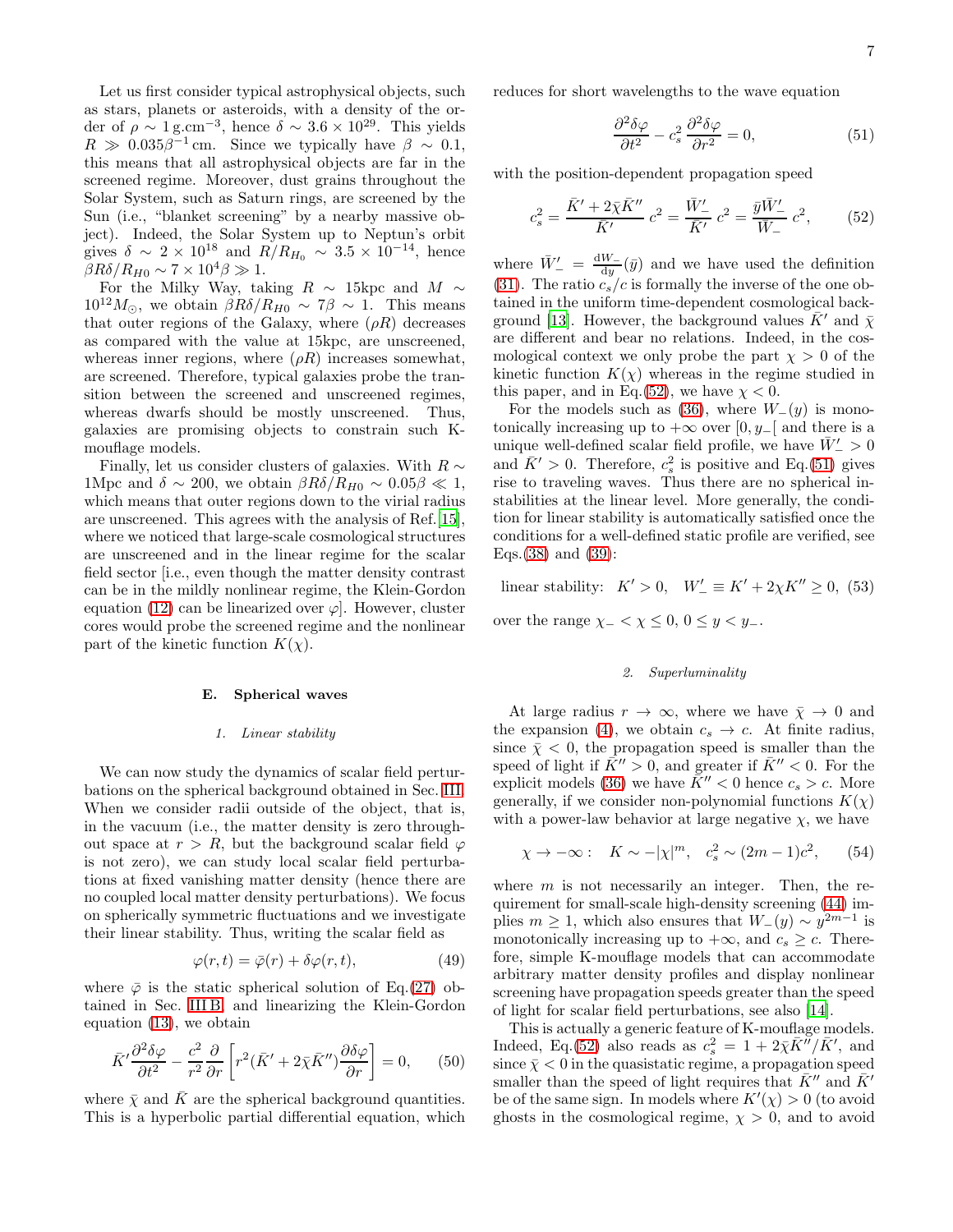Let us first consider typical astrophysical objects, such as stars, planets or asteroids, with a density of the order of  $\rho \sim 1 \text{ g.cm}^{-3}$ , hence  $\delta \sim 3.6 \times 10^{29}$ . This yields  $R \gg 0.035\beta^{-1}$  cm. Since we typically have  $\beta \sim 0.1$ , this means that all astrophysical objects are far in the screened regime. Moreover, dust grains throughout the Solar System, such as Saturn rings, are screened by the Sun (i.e., "blanket screening" by a nearby massive object). Indeed, the Solar System up to Neptun's orbit gives  $\delta \sim 2 \times 10^{18}$  and  $R/R_{H_0} \sim 3.5 \times 10^{-14}$ , hence  $\beta R\delta/R_{H0} \sim 7 \times 10^4 \beta \gg 1.$ 

For the Milky Way, taking  $R \sim 15$ kpc and  $M \sim$  $10^{12}M_{\odot}$ , we obtain  $\beta R\delta/R_{H0} \sim 7\beta \sim 1$ . This means that outer regions of the Galaxy, where  $(\rho R)$  decreases as compared with the value at 15kpc, are unscreened, whereas inner regions, where  $(\rho R)$  increases somewhat, are screened. Therefore, typical galaxies probe the transition between the screened and unscreened regimes, whereas dwarfs should be mostly unscreened. Thus, galaxies are promising objects to constrain such Kmouflage models.

Finally, let us consider clusters of galaxies. With  $R \sim$ 1Mpc and  $\delta \sim 200$ , we obtain  $\beta R \delta / R_{H0} \sim 0.05 \beta \ll 1$ , which means that outer regions down to the virial radius are unscreened. This agrees with the analysis of Ref.[\[15\]](#page-19-14), where we noticed that large-scale cosmological structures are unscreened and in the linear regime for the scalar field sector [i.e., even though the matter density contrast can be in the mildly nonlinear regime, the Klein-Gordon equation [\(12\)](#page-2-2) can be linearized over  $\varphi$ . However, cluster cores would probe the screened regime and the nonlinear part of the kinetic function  $K(\chi)$ .

### E. Spherical waves

#### *1. Linear stability*

We can now study the dynamics of scalar field perturbations on the spherical background obtained in Sec. [III.](#page-3-8) When we consider radii outside of the object, that is, in the vacuum (i.e., the matter density is zero throughout space at  $r > R$ , but the background scalar field  $\varphi$ is not zero), we can study local scalar field perturbations at fixed vanishing matter density (hence there are no coupled local matter density perturbations). We focus on spherically symmetric fluctuations and we investigate their linear stability. Thus, writing the scalar field as

$$
\varphi(r,t) = \bar{\varphi}(r) + \delta\varphi(r,t),\tag{49}
$$

where  $\bar{\varphi}$  is the static spherical solution of Eq.[\(27\)](#page-4-0) obtained in Sec. [III B,](#page-3-2) and linearizing the Klein-Gordon equation [\(13\)](#page-2-3), we obtain

$$
\bar{K}' \frac{\partial^2 \delta \varphi}{\partial t^2} - \frac{c^2}{r^2} \frac{\partial}{\partial r} \left[ r^2 (\bar{K}' + 2\bar{\chi} \bar{K}'') \frac{\partial \delta \varphi}{\partial r} \right] = 0, \quad (50)
$$

where  $\bar{\chi}$  and  $\bar{K}$  are the spherical background quantities. This is a hyperbolic partial differential equation, which reduces for short wavelengths to the wave equation

<span id="page-6-1"></span>
$$
\frac{\partial^2 \delta \varphi}{\partial t^2} - c_s^2 \frac{\partial^2 \delta \varphi}{\partial r^2} = 0,
$$
\n(51)

with the position-dependent propagation speed

<span id="page-6-0"></span>
$$
c_s^2 = \frac{\bar{K}' + 2\bar{\chi}\bar{K}''}{\bar{K}'}\ c^2 = \frac{\bar{W}'_-}{\bar{K}'}\ c^2 = \frac{\bar{y}\bar{W}'_-}{\bar{W}_-}\ c^2,\tag{52}
$$

where  $\bar{W}'_- = \frac{dW_-}{dy}$  $\frac{W}{\mathrm{d}y}(\bar{y})$  and we have used the definition [\(31\)](#page-4-4). The ratio  $c_s/c$  is formally the inverse of the one obtained in the uniform time-dependent cosmological back-ground [\[13\]](#page-19-12). However, the background values  $K'$  and  $\bar{\chi}$ are different and bear no relations. Indeed, in the cosmological context we only probe the part  $\chi > 0$  of the kinetic function  $K(\chi)$  whereas in the regime studied in this paper, and in Eq.[\(52\)](#page-6-0), we have  $\chi < 0$ .

For the models such as [\(36\)](#page-4-5), where  $W_-(y)$  is monotonically increasing up to  $+\infty$  over [0, y<sub>−</sub>[ and there is a unique well-defined scalar field profile, we have  $\bar W'_- > 0$ and  $\bar{K}$ ' > 0. Therefore,  $c_s^2$  is positive and Eq.[\(51\)](#page-6-1) gives rise to traveling waves. Thus there are no spherical instabilities at the linear level. More generally, the condition for linear stability is automatically satisfied once the conditions for a well-defined static profile are verified, see Eqs.[\(38\)](#page-4-8) and [\(39\)](#page-4-9):

<span id="page-6-2"></span>linear stability:  $K' > 0$ ,  $W'_{-} \equiv K' + 2\chi K'' \ge 0$ , (53) over the range  $\chi$ <sub>-</sub> <  $\chi$  ≤ 0, 0 ≤ y < y<sub>-</sub>.

#### *2. Superluminality*

At large radius  $r \to \infty$ , where we have  $\bar{\chi} \to 0$  and the expansion [\(4\)](#page-1-1), we obtain  $c_s \to c$ . At finite radius, since  $\bar{\chi}$  < 0, the propagation speed is smaller than the speed of light if  $\bar{K}^{\prime\prime} > 0$ , and greater if  $\bar{K}^{\prime\prime} < 0$ . For the explicit models [\(36\)](#page-4-5) we have  $\bar{K}^{\prime\prime} < 0$  hence  $c_s > c$ . More generally, if we consider non-polynomial functions  $K(\chi)$ with a power-law behavior at large negative  $\chi$ , we have

$$
\chi \to -\infty
$$
:  $K \sim -|\chi|^m$ ,  $c_s^2 \sim (2m-1)c^2$ , (54)

where  $m$  is not necessarily an integer. Then, the requirement for small-scale high-density screening [\(44\)](#page-5-0) implies  $m \geq 1$ , which also ensures that  $W_-(y) \sim y^{2m-1}$  is monotonically increasing up to  $+\infty$ , and  $c_s \geq c$ . Therefore, simple K-mouflage models that can accommodate arbitrary matter density profiles and display nonlinear screening have propagation speeds greater than the speed of light for scalar field perturbations, see also [\[14\]](#page-19-13).

This is actually a generic feature of K-mouflage models. Indeed, Eq.[\(52\)](#page-6-0) also reads as  $c_s^2 = 1 + 2\overline{\chi}K''/\overline{K}'$ , and since  $\bar{x}$  < 0 in the quasistatic regime, a propagation speed smaller than the speed of light requires that  $\bar{K}^{\prime\prime}$  and  $\bar{K}^{\prime}$ be of the same sign. In models where  $K'(\chi) > 0$  (to avoid ghosts in the cosmological regime,  $\chi > 0$ , and to avoid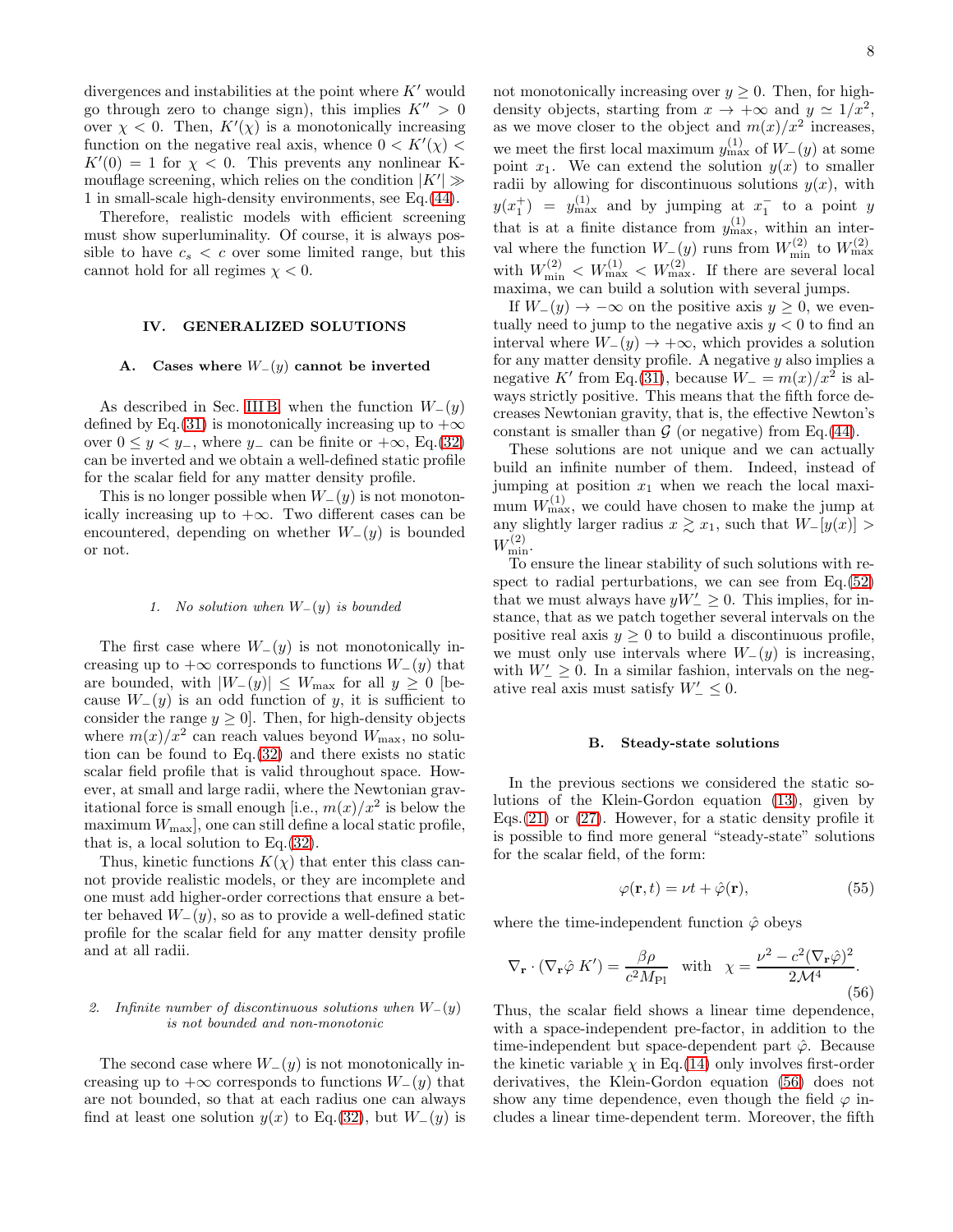divergences and instabilities at the point where  $K'$  would go through zero to change sign), this implies  $K'' > 0$ over  $\chi$  < 0. Then,  $K'(\chi)$  is a monotonically increasing function on the negative real axis, whence  $0 < K'(\chi) <$  $K'(0) = 1$  for  $\chi < 0$ . This prevents any nonlinear Kmouflage screening, which relies on the condition  $|K'| \gg$ 1 in small-scale high-density environments, see Eq.[\(44\)](#page-5-0).

Therefore, realistic models with efficient screening must show superluminality. Of course, it is always possible to have  $c_s < c$  over some limited range, but this cannot hold for all regimes  $\chi < 0$ .

# IV. GENERALIZED SOLUTIONS

# <span id="page-7-0"></span>A. Cases where  $W_-(y)$  cannot be inverted

As described in Sec. [III B,](#page-3-2) when the function  $W_-(y)$ defined by Eq.[\(31\)](#page-4-4) is monotonically increasing up to  $+\infty$ over  $0 \leq y \leq y_-,$  where  $y_-\$ can be finite or  $+\infty$ , Eq.[\(32\)](#page-4-2) can be inverted and we obtain a well-defined static profile for the scalar field for any matter density profile.

This is no longer possible when  $W_-(y)$  is not monotonically increasing up to  $+\infty$ . Two different cases can be encountered, depending on whether  $W_-(y)$  is bounded or not.

#### <span id="page-7-2"></span>*1. No solution when* W−(y) *is bounded*

The first case where  $W_-(y)$  is not monotonically increasing up to  $+\infty$  corresponds to functions  $W_-(y)$  that are bounded, with  $|W_-(y)| \leq W_{\text{max}}$  for all  $y \geq 0$  [because  $W_-(y)$  is an odd function of y, it is sufficient to consider the range  $y \geq 0$ . Then, for high-density objects where  $m(x)/x^2$  can reach values beyond  $W_{\text{max}}$ , no solution can be found to Eq.[\(32\)](#page-4-2) and there exists no static scalar field profile that is valid throughout space. However, at small and large radii, where the Newtonian gravitational force is small enough [i.e.,  $m(x)/x^2$  is below the maximum  $W_{\text{max}}$ , one can still define a local static profile, that is, a local solution to Eq.[\(32\)](#page-4-2).

Thus, kinetic functions  $K(\chi)$  that enter this class cannot provide realistic models, or they are incomplete and one must add higher-order corrections that ensure a better behaved  $W_-(y)$ , so as to provide a well-defined static profile for the scalar field for any matter density profile and at all radii.

# <span id="page-7-4"></span>2. Infinite number of discontinuous solutions when  $W_-(y)$ *is not bounded and non-monotonic*

The second case where  $W_-(y)$  is not monotonically increasing up to  $+\infty$  corresponds to functions  $W_-(y)$  that are not bounded, so that at each radius one can always find at least one solution  $y(x)$  to Eq.[\(32\)](#page-4-2), but  $W_-(y)$  is not monotonically increasing over  $y \geq 0$ . Then, for highdensity objects, starting from  $x \to +\infty$  and  $y \simeq 1/x^2$ , as we move closer to the object and  $m(x)/x^2$  increases, we meet the first local maximum  $y^{(1)}_{\text{max}}$  of  $W_-(y)$  at some point  $x_1$ . We can extend the solution  $y(x)$  to smaller radii by allowing for discontinuous solutions  $y(x)$ , with  $y(x_1^+) = y_{\text{max}}^{(1)}$  and by jumping at  $x_1^-$  to a point y that is at a finite distance from  $y_{\text{max}}^{(1)}$ , within an interval where the function  $W_{-}(y)$  runs from  $W_{\min}^{(2)}$  to  $W_{\max}^{(2)}$ with  $W_{\min}^{(2)} < W_{\max}^{(1)} < W_{\max}^{(2)}$ . If there are several local maxima, we can build a solution with several jumps.

If  $W_-(y) \to -\infty$  on the positive axis  $y \geq 0$ , we eventually need to jump to the negative axis  $y < 0$  to find an interval where  $W_-(y) \to +\infty$ , which provides a solution for any matter density profile. A negative y also implies a negative K' from Eq.[\(31\)](#page-4-4), because  $W = m(x)/x^2$  is always strictly positive. This means that the fifth force decreases Newtonian gravity, that is, the effective Newton's constant is smaller than  $\mathcal G$  (or negative) from Eq.[\(44\)](#page-5-0).

These solutions are not unique and we can actually build an infinite number of them. Indeed, instead of jumping at position  $x_1$  when we reach the local maximum  $W_{\text{max}}^{(1)}$ , we could have chosen to make the jump at any slightly larger radius  $x \geq x_1$ , such that  $W_{-}[y(x)] >$  $W_{\min}^{(2)}$ .

To ensure the linear stability of such solutions with respect to radial perturbations, we can see from Eq.[\(52\)](#page-6-0) that we must always have  $yW' \geq 0$ . This implies, for instance, that as we patch together several intervals on the positive real axis  $y \geq 0$  to build a discontinuous profile, we must only use intervals where  $W_-(y)$  is increasing, with  $W'_{-} \geq 0$ . In a similar fashion, intervals on the negative real axis must satisfy  $W'_{-} \leq 0$ .

#### B. Steady-state solutions

In the previous sections we considered the static solutions of the Klein-Gordon equation [\(13\)](#page-2-3), given by Eqs.  $(21)$  or  $(27)$ . However, for a static density profile it is possible to find more general "steady-state" solutions for the scalar field, of the form:

<span id="page-7-3"></span>
$$
\varphi(\mathbf{r},t) = \nu t + \hat{\varphi}(\mathbf{r}),\tag{55}
$$

where the time-independent function  $\hat{\varphi}$  obeys

<span id="page-7-1"></span>
$$
\nabla_{\mathbf{r}} \cdot (\nabla_{\mathbf{r}} \hat{\varphi} \, K') = \frac{\beta \rho}{c^2 M_{\text{Pl}}} \quad \text{with} \quad \chi = \frac{\nu^2 - c^2 (\nabla_{\mathbf{r}} \hat{\varphi})^2}{2\mathcal{M}^4}.
$$
\n(56)

Thus, the scalar field shows a linear time dependence, with a space-independent pre-factor, in addition to the time-independent but space-dependent part  $\hat{\varphi}$ . Because the kinetic variable  $\chi$  in Eq.[\(14\)](#page-2-7) only involves first-order derivatives, the Klein-Gordon equation [\(56\)](#page-7-1) does not show any time dependence, even though the field  $\varphi$  includes a linear time-dependent term. Moreover, the fifth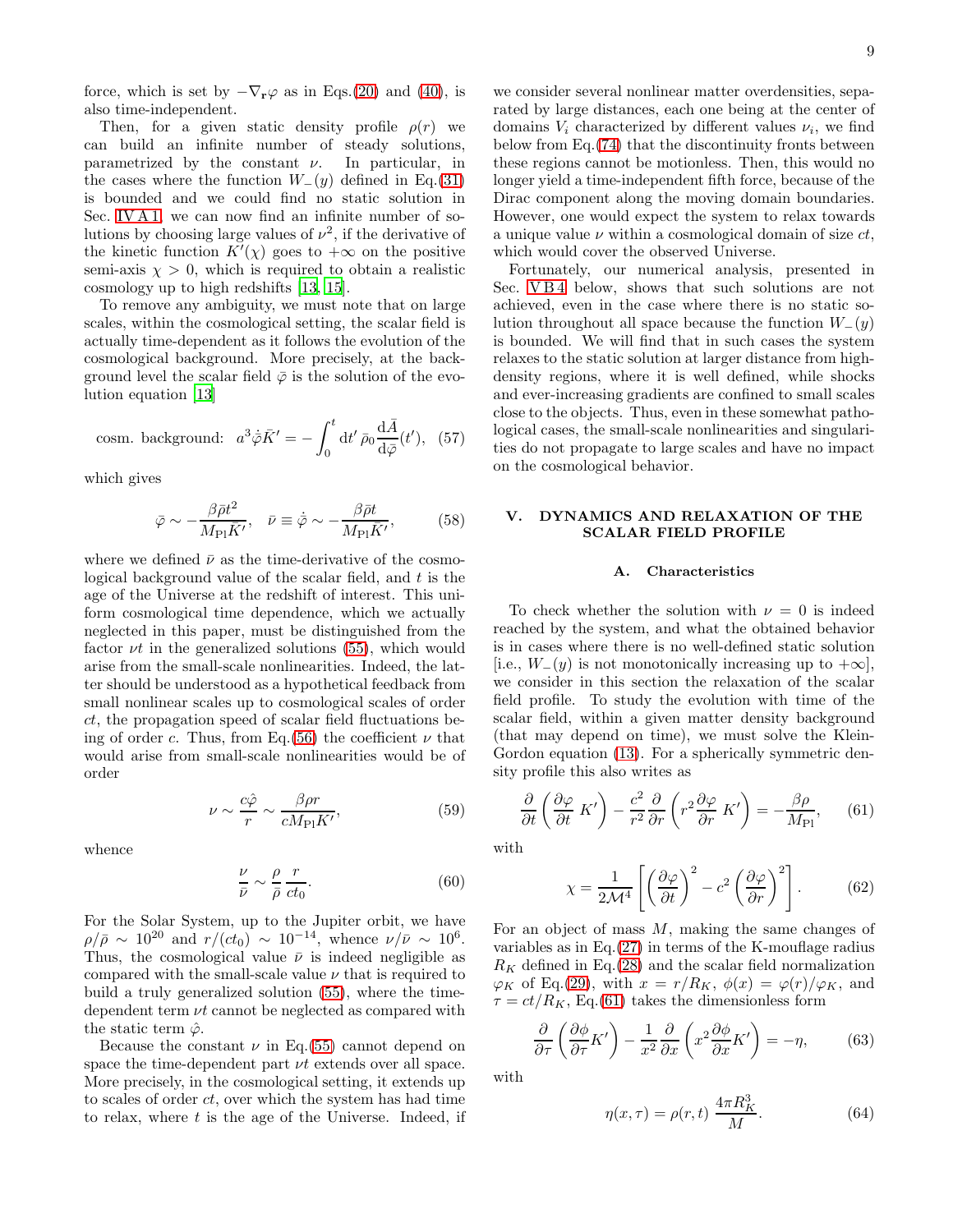force, which is set by  $-\nabla_{\mathbf{r}}\varphi$  as in Eqs.[\(20\)](#page-3-5) and [\(40\)](#page-5-2), is also time-independent.

Then, for a given static density profile  $\rho(r)$  we can build an infinite number of steady solutions, parametrized by the constant  $\nu$ . In particular, in the cases where the function  $W_-(y)$  defined in Eq.[\(31\)](#page-4-4) is bounded and we could find no static solution in Sec. [IV A 1,](#page-7-2) we can now find an infinite number of solutions by choosing large values of  $\nu^2$ , if the derivative of the kinetic function  $K'(\chi)$  goes to  $+\infty$  on the positive semi-axis  $\chi > 0$ , which is required to obtain a realistic cosmology up to high redshifts [\[13,](#page-19-12) [15\]](#page-19-14).

To remove any ambiguity, we must note that on large scales, within the cosmological setting, the scalar field is actually time-dependent as it follows the evolution of the cosmological background. More precisely, at the background level the scalar field  $\bar{\varphi}$  is the solution of the evolution equation [\[13](#page-19-12)]

cosm. background: 
$$
a^3 \dot{\bar{\varphi}} \bar{K}' = -\int_0^t dt' \bar{\rho}_0 \frac{d\bar{A}}{d\bar{\varphi}}(t'),
$$
 (57)

which gives

$$
\bar{\varphi} \sim -\frac{\beta \bar{\rho} t^2}{M_{\rm Pl} \bar{K}'}, \quad \bar{\nu} \equiv \dot{\bar{\varphi}} \sim -\frac{\beta \bar{\rho} t}{M_{\rm Pl} \bar{K}'},\tag{58}
$$

where we defined  $\bar{\nu}$  as the time-derivative of the cosmological background value of the scalar field, and  $t$  is the age of the Universe at the redshift of interest. This uniform cosmological time dependence, which we actually neglected in this paper, must be distinguished from the factor  $\nu t$  in the generalized solutions [\(55\)](#page-7-3), which would arise from the small-scale nonlinearities. Indeed, the latter should be understood as a hypothetical feedback from small nonlinear scales up to cosmological scales of order  $ct$ , the propagation speed of scalar field fluctuations be-ing of order c. Thus, from Eq.[\(56\)](#page-7-1) the coefficient  $\nu$  that would arise from small-scale nonlinearities would be of order

$$
\nu \sim \frac{c\hat{\varphi}}{r} \sim \frac{\beta \rho r}{cM_{\rm Pl} K'},\tag{59}
$$

whence

$$
\frac{\nu}{\bar{\nu}} \sim \frac{\rho}{\bar{\rho}} \frac{r}{ct_0}.\tag{60}
$$

For the Solar System, up to the Jupiter orbit, we have  $\rho/\bar{\rho} \sim 10^{20}$  and  $r/(ct_0) \sim 10^{-14}$ , whence  $\nu/\bar{\nu} \sim 10^6$ . Thus, the cosmological value  $\bar{\nu}$  is indeed negligible as compared with the small-scale value  $\nu$  that is required to build a truly generalized solution [\(55\)](#page-7-3), where the timedependent term  $\nu t$  cannot be neglected as compared with the static term  $\hat{\varphi}$ .

Because the constant  $\nu$  in Eq.[\(55\)](#page-7-3) cannot depend on space the time-dependent part  $\nu t$  extends over all space. More precisely, in the cosmological setting, it extends up to scales of order ct, over which the system has had time to relax, where  $t$  is the age of the Universe. Indeed, if

we consider several nonlinear matter overdensities, separated by large distances, each one being at the center of domains  $V_i$  characterized by different values  $\nu_i$ , we find below from Eq.[\(74\)](#page-9-0) that the discontinuity fronts between these regions cannot be motionless. Then, this would no longer yield a time-independent fifth force, because of the Dirac component along the moving domain boundaries. However, one would expect the system to relax towards a unique value  $\nu$  within a cosmological domain of size  $ct$ . which would cover the observed Universe.

Fortunately, our numerical analysis, presented in Sec. VB4 below, shows that such solutions are not achieved, even in the case where there is no static solution throughout all space because the function  $W_-(y)$ is bounded. We will find that in such cases the system relaxes to the static solution at larger distance from highdensity regions, where it is well defined, while shocks and ever-increasing gradients are confined to small scales close to the objects. Thus, even in these somewhat pathological cases, the small-scale nonlinearities and singularities do not propagate to large scales and have no impact on the cosmological behavior.

## V. DYNAMICS AND RELAXATION OF THE SCALAR FIELD PROFILE

## A. Characteristics

To check whether the solution with  $\nu = 0$  is indeed reached by the system, and what the obtained behavior is in cases where there is no well-defined static solution [i.e.,  $W_-(y)$  is not monotonically increasing up to  $+\infty$ ], we consider in this section the relaxation of the scalar field profile. To study the evolution with time of the scalar field, within a given matter density background (that may depend on time), we must solve the Klein-Gordon equation [\(13\)](#page-2-3). For a spherically symmetric density profile this also writes as

<span id="page-8-0"></span>
$$
\frac{\partial}{\partial t} \left( \frac{\partial \varphi}{\partial t} K' \right) - \frac{c^2}{r^2} \frac{\partial}{\partial r} \left( r^2 \frac{\partial \varphi}{\partial r} K' \right) = -\frac{\beta \rho}{M_{\text{Pl}}}, \quad (61)
$$

with

$$
\chi = \frac{1}{2\mathcal{M}^4} \left[ \left( \frac{\partial \varphi}{\partial t} \right)^2 - c^2 \left( \frac{\partial \varphi}{\partial r} \right)^2 \right].
$$
 (62)

For an object of mass  $M$ , making the same changes of variables as in Eq.[\(27\)](#page-4-0) in terms of the K-mouflage radius  $R_K$  defined in Eq.[\(28\)](#page-4-7) and the scalar field normalization  $\varphi_K$  of Eq.[\(29\)](#page-4-10), with  $x = r/R_K$ ,  $\phi(x) = \varphi(r)/\varphi_K$ , and  $\tau = ct/R_K$ , Eq.[\(61\)](#page-8-0) takes the dimensionless form

<span id="page-8-1"></span>
$$
\frac{\partial}{\partial \tau} \left( \frac{\partial \phi}{\partial \tau} K' \right) - \frac{1}{x^2} \frac{\partial}{\partial x} \left( x^2 \frac{\partial \phi}{\partial x} K' \right) = -\eta, \tag{63}
$$

with

$$
\eta(x,\tau) = \rho(r,t) \frac{4\pi R_K^3}{M}.\tag{64}
$$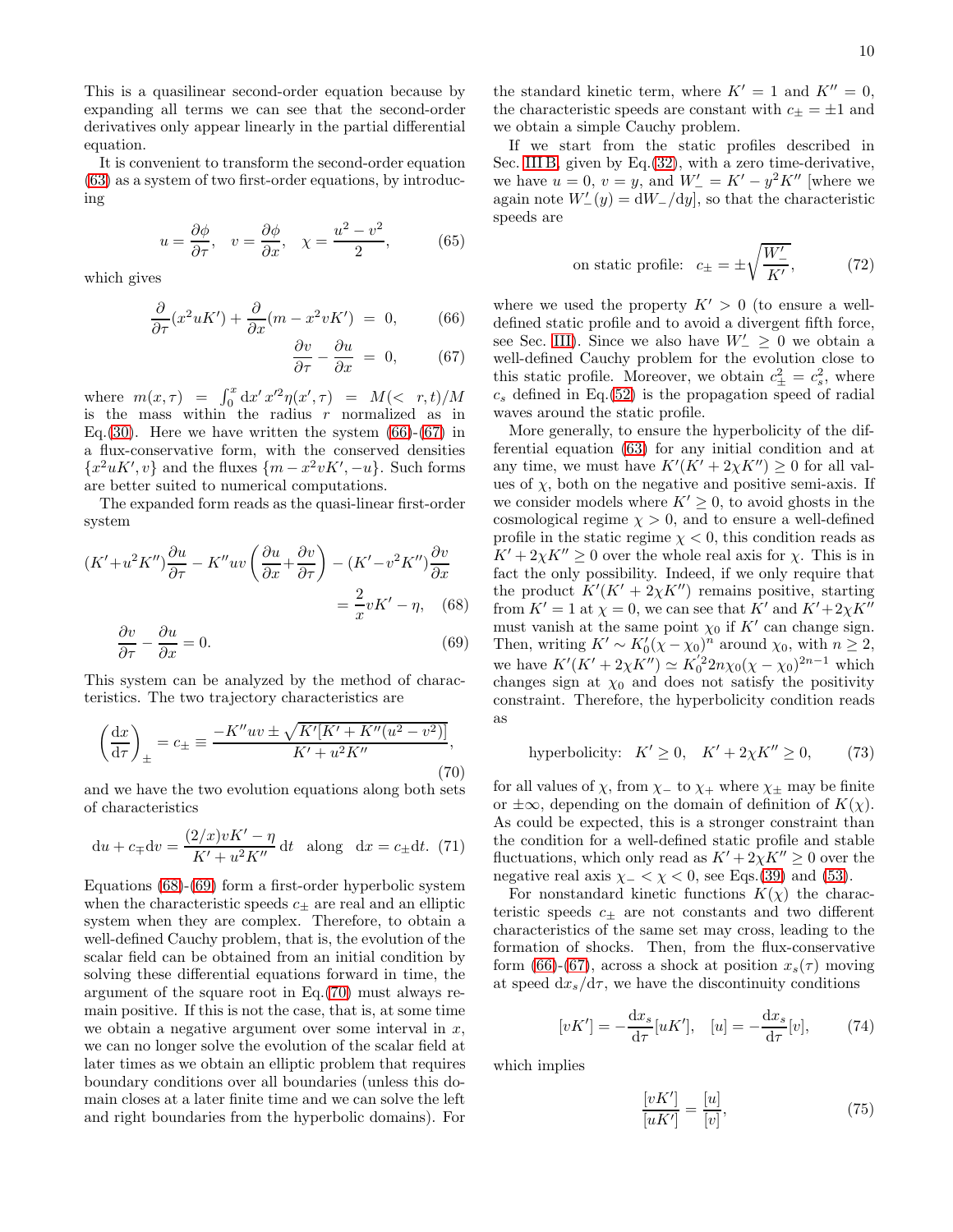This is a quasilinear second-order equation because by expanding all terms we can see that the second-order derivatives only appear linearly in the partial differential equation.

It is convenient to transform the second-order equation [\(63\)](#page-8-1) as a system of two first-order equations, by introducing

$$
u = \frac{\partial \phi}{\partial \tau}, \quad v = \frac{\partial \phi}{\partial x}, \quad \chi = \frac{u^2 - v^2}{2}, \tag{65}
$$

which gives

<span id="page-9-1"></span>
$$
\frac{\partial}{\partial \tau}(x^2 u K') + \frac{\partial}{\partial x}(m - x^2 v K') = 0, \qquad (66)
$$

$$
\frac{\partial v}{\partial \tau} - \frac{\partial u}{\partial x} = 0, \qquad (67)
$$

where  $m(x,\tau) = \int_0^x dx' \, x'^2 \eta(x',\tau) = M(< r,t)/M$ is the mass within the radius  $r$  normalized as in Eq.[\(30\)](#page-4-1). Here we have written the system  $(66)-(67)$  $(66)-(67)$  in a flux-conservative form, with the conserved densities  ${x^2 uK', v}$  and the fluxes  ${m - x^2 vK', -u}$ . Such forms are better suited to numerical computations.

The expanded form reads as the quasi-linear first-order system

<span id="page-9-2"></span>
$$
(K' + u^2 K'')\frac{\partial u}{\partial \tau} - K''uv\left(\frac{\partial u}{\partial x} + \frac{\partial v}{\partial \tau}\right) - (K' - v^2 K'')\frac{\partial v}{\partial x}
$$

$$
= \frac{2}{x}vK' - \eta, \quad (68)
$$

$$
\frac{\partial v}{\partial \tau} - \frac{\partial u}{\partial x} = 0.
$$
(69)

This system can be analyzed by the method of characteristics. The two trajectory characteristics are

<span id="page-9-3"></span>
$$
\left(\frac{\mathrm{d}x}{\mathrm{d}\tau}\right)_{\pm} = c_{\pm} \equiv \frac{-K''uv \pm \sqrt{K'[K' + K''(u^2 - v^2)]}}{K' + u^2 K''},\tag{70}
$$

and we have the two evolution equations along both sets of characteristics

$$
du + c_{\mp} dv = \frac{(2/x)vK' - \eta}{K' + u^2K''} dt
$$
 along  $dx = c_{\pm} dt$ . (71)

Equations [\(68\)](#page-9-2)-[\(69\)](#page-9-2) form a first-order hyperbolic system when the characteristic speeds  $c_{\pm}$  are real and an elliptic system when they are complex. Therefore, to obtain a well-defined Cauchy problem, that is, the evolution of the scalar field can be obtained from an initial condition by solving these differential equations forward in time, the argument of the square root in Eq.[\(70\)](#page-9-3) must always remain positive. If this is not the case, that is, at some time we obtain a negative argument over some interval in  $x$ , we can no longer solve the evolution of the scalar field at later times as we obtain an elliptic problem that requires boundary conditions over all boundaries (unless this domain closes at a later finite time and we can solve the left and right boundaries from the hyperbolic domains). For

the standard kinetic term, where  $K' = 1$  and  $K'' = 0$ , the characteristic speeds are constant with  $c_{\pm} = \pm 1$  and we obtain a simple Cauchy problem.

If we start from the static profiles described in Sec. [III B,](#page-3-2) given by Eq.[\(32\)](#page-4-2), with a zero time-derivative, we have  $u = 0$ ,  $v = y$ , and  $W' = K' - y^2 K''$  [where we again note  $W'_{-}(y) = dW_{-}/dy$ , so that the characteristic speeds are

<span id="page-9-4"></span>on static profile: 
$$
c_{\pm} = \pm \sqrt{\frac{W'_{-}}{K'}}
$$
, (72)

where we used the property  $K' > 0$  (to ensure a welldefined static profile and to avoid a divergent fifth force, see Sec. [III\)](#page-3-8). Since we also have  $W'_{-} \geq 0$  we obtain a well-defined Cauchy problem for the evolution close to this static profile. Moreover, we obtain  $c_{\pm}^2 = c_s^2$ , where  $c_s$  defined in Eq.[\(52\)](#page-6-0) is the propagation speed of radial waves around the static profile.

More generally, to ensure the hyperbolicity of the differential equation [\(63\)](#page-8-1) for any initial condition and at any time, we must have  $K'(K' + 2\chi K'') \geq 0$  for all values of  $\chi$ , both on the negative and positive semi-axis. If we consider models where  $K' \geq 0$ , to avoid ghosts in the cosmological regime  $\chi > 0$ , and to ensure a well-defined profile in the static regime  $\chi < 0$ , this condition reads as  $K' + 2\chi K'' \geq 0$  over the whole real axis for  $\chi$ . This is in fact the only possibility. Indeed, if we only require that the product  $K'(K' + 2\chi K'')$  remains positive, starting from  $K' = 1$  at  $\chi = 0$ , we can see that  $K'$  and  $K' + 2\chi K''$ must vanish at the same point  $\chi_0$  if  $K'$  can change sign. Then, writing  $K' \sim K'_0(\chi - \chi_0)^n$  around  $\chi_0$ , with  $n \geq 2$ , we have  $K'(K' + 2\chi K'') \simeq K_0'^2 2n\chi_0(\chi - \chi_0)^{2n-1}$  which changes sign at  $\chi_0$  and does not satisfy the positivity constraint. Therefore, the hyperbolicity condition reads as

hyperbolicity: 
$$
K' \ge 0
$$
,  $K' + 2\chi K'' \ge 0$ , (73)

for all values of  $\chi$ , from  $\chi$  to  $\chi$  where  $\chi$  may be finite or  $\pm\infty$ , depending on the domain of definition of  $K(\chi)$ . As could be expected, this is a stronger constraint than the condition for a well-defined static profile and stable fluctuations, which only read as  $K' + 2\chi K'' \geq 0$  over the negative real axis  $\chi$  – <  $\chi$  < 0, see Eqs.[\(39\)](#page-4-9) and [\(53\)](#page-6-2).

For nonstandard kinetic functions  $K(\chi)$  the characteristic speeds  $c_{\pm}$  are not constants and two different characteristics of the same set may cross, leading to the formation of shocks. Then, from the flux-conservative form [\(66\)](#page-9-1)-[\(67\)](#page-9-1), across a shock at position  $x_s(\tau)$  moving at speed  $dx_s/d\tau$ , we have the discontinuity conditions

<span id="page-9-0"></span>
$$
[vK'] = -\frac{\mathrm{d}x_s}{\mathrm{d}\tau}[uK'], \quad [u] = -\frac{\mathrm{d}x_s}{\mathrm{d}\tau}[v], \tag{74}
$$

which implies

$$
\frac{[vK']}{[uK']} = \frac{[u]}{[v]},\tag{75}
$$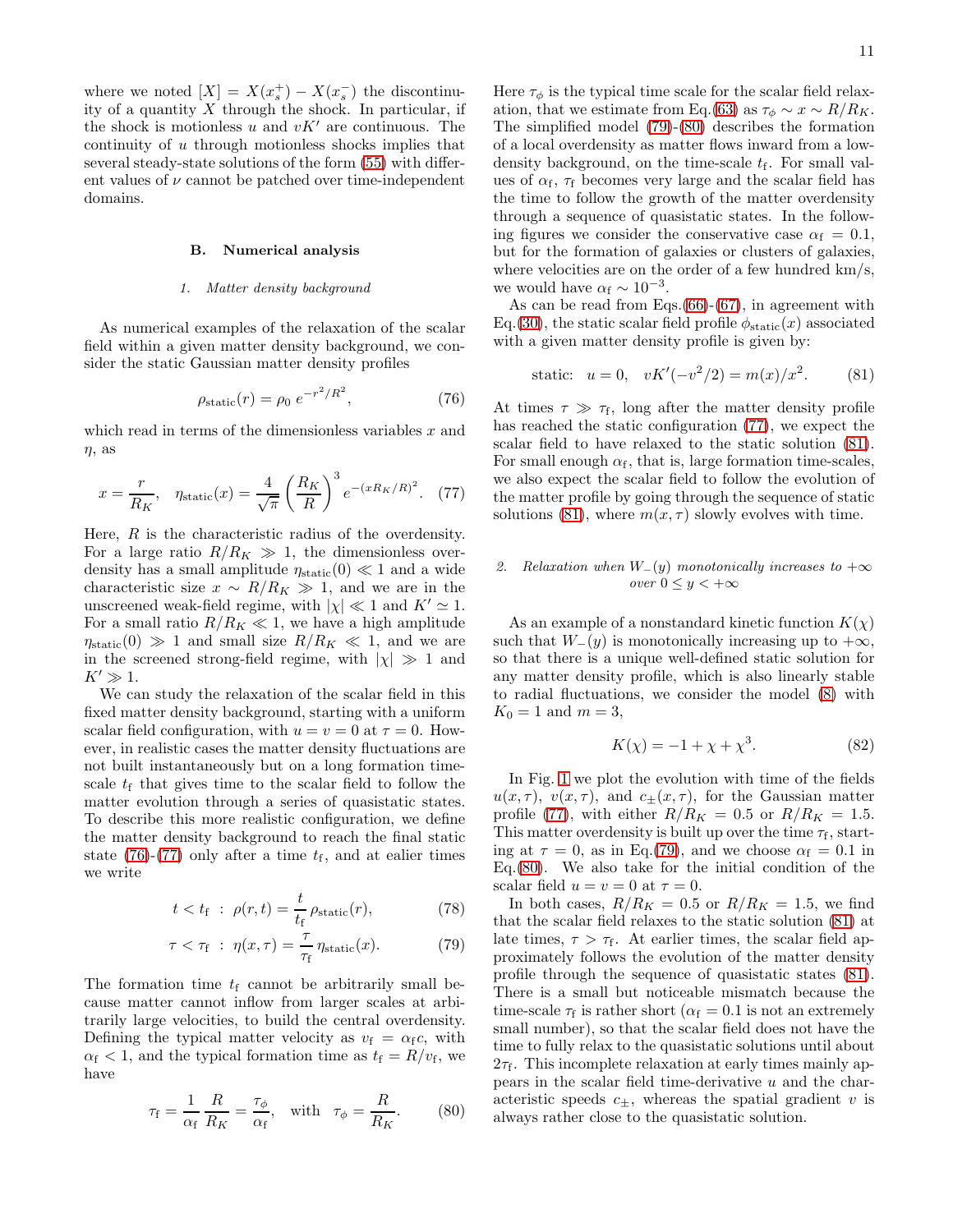where we noted  $[X] = X(x_s^+) - X(x_s^-)$  the discontinuity of a quantity  $X$  through the shock. In particular, if the shock is motionless u and  $vK'$  are continuous. The continuity of u through motionless shocks implies that several steady-state solutions of the form [\(55\)](#page-7-3) with different values of  $\nu$  cannot be patched over time-independent domains.

### B. Numerical analysis

## *1. Matter density background*

As numerical examples of the relaxation of the scalar field within a given matter density background, we consider the static Gaussian matter density profiles

<span id="page-10-0"></span>
$$
\rho_{\text{static}}(r) = \rho_0 \ e^{-r^2/R^2},\tag{76}
$$

which read in terms of the dimensionless variables  $x$  and  $\eta$ , as

<span id="page-10-1"></span>
$$
x = \frac{r}{R_K}, \quad \eta_{\text{static}}(x) = \frac{4}{\sqrt{\pi}} \left(\frac{R_K}{R}\right)^3 e^{-(xR_K/R)^2}.
$$
 (77)

Here,  $R$  is the characteristic radius of the overdensity. For a large ratio  $R/R_K \gg 1$ , the dimensionless overdensity has a small amplitude  $\eta_{static}(0) \ll 1$  and a wide characteristic size  $x \sim R/R_K \gg 1$ , and we are in the unscreened weak-field regime, with  $|\chi| \ll 1$  and  $K' \simeq 1$ . For a small ratio  $R/R_K \ll 1$ , we have a high amplitude  $\eta_{\text{static}}(0) \gg 1$  and small size  $R/R_K \ll 1$ , and we are in the screened strong-field regime, with  $|\chi| \gg 1$  and  $K' \gg 1$ .

We can study the relaxation of the scalar field in this fixed matter density background, starting with a uniform scalar field configuration, with  $u = v = 0$  at  $\tau = 0$ . However, in realistic cases the matter density fluctuations are not built instantaneously but on a long formation timescale  $t_f$  that gives time to the scalar field to follow the matter evolution through a series of quasistatic states. To describe this more realistic configuration, we define the matter density background to reach the final static state [\(76\)](#page-10-0)-[\(77\)](#page-10-1) only after a time  $t_f$ , and at ealier times we write

<span id="page-10-2"></span>
$$
t < t_{\rm f} \; : \; \rho(r, t) = \frac{t}{t_{\rm f}} \, \rho_{\rm static}(r), \tag{78}
$$

$$
\tau < \tau_{\rm f} \; : \; \eta(x,\tau) = \frac{\tau}{\tau_{\rm f}} \, \eta_{\rm static}(x). \tag{79}
$$

The formation time  $t_f$  cannot be arbitrarily small because matter cannot inflow from larger scales at arbitrarily large velocities, to build the central overdensity. Defining the typical matter velocity as  $v_f = \alpha_f c$ , with  $\alpha_f < 1$ , and the typical formation time as  $t_f = R/v_f$ , we have

<span id="page-10-3"></span>
$$
\tau_{\rm f} = \frac{1}{\alpha_{\rm f}} \frac{R}{R_K} = \frac{\tau_{\phi}}{\alpha_{\rm f}}, \quad \text{with} \quad \tau_{\phi} = \frac{R}{R_K}.\tag{80}
$$

Here  $\tau_{\phi}$  is the typical time scale for the scalar field relax-ation, that we estimate from Eq.[\(63\)](#page-8-1) as  $\tau_{\phi} \sim x \sim R/R_K$ . The simplified model [\(79\)](#page-10-2)-[\(80\)](#page-10-3) describes the formation of a local overdensity as matter flows inward from a lowdensity background, on the time-scale  $t_f$ . For small values of  $\alpha_{\rm f}$ ,  $\tau_{\rm f}$  becomes very large and the scalar field has the time to follow the growth of the matter overdensity through a sequence of quasistatic states. In the following figures we consider the conservative case  $\alpha_f = 0.1$ , but for the formation of galaxies or clusters of galaxies, where velocities are on the order of a few hundred km/s, we would have  $\alpha_f \sim 10^{-3}$ .

As can be read from Eqs. $(66)-(67)$  $(66)-(67)$  $(66)-(67)$ , in agreement with Eq.[\(30\)](#page-4-1), the static scalar field profile  $\phi_{static}(x)$  associated with a given matter density profile is given by:

<span id="page-10-4"></span>
$$
static: u = 0, vK'(-v^2/2) = m(x)/x^2.
$$
 (81)

At times  $\tau \gg \tau_f$ , long after the matter density profile has reached the static configuration [\(77\)](#page-10-1), we expect the scalar field to have relaxed to the static solution [\(81\)](#page-10-4). For small enough  $\alpha_f$ , that is, large formation time-scales, we also expect the scalar field to follow the evolution of the matter profile by going through the sequence of static solutions [\(81\)](#page-10-4), where  $m(x, \tau)$  slowly evolves with time.

# <span id="page-10-6"></span>2. Relaxation when  $W_-(y)$  monotonically increases to  $+\infty$ *over*  $0 \leq y < +\infty$

As an example of a nonstandard kinetic function  $K(\chi)$ such that  $W_-(y)$  is monotonically increasing up to  $+\infty$ , so that there is a unique well-defined static solution for any matter density profile, which is also linearly stable to radial fluctuations, we consider the model [\(8\)](#page-2-5) with  $K_0 = 1$  and  $m = 3$ ,

<span id="page-10-5"></span>
$$
K(\chi) = -1 + \chi + \chi^3.
$$
 (82)

In Fig. [1](#page-11-0) we plot the evolution with time of the fields  $u(x, \tau)$ ,  $v(x, \tau)$ , and  $c_{\pm}(x, \tau)$ , for the Gaussian matter profile [\(77\)](#page-10-1), with either  $R/R_K = 0.5$  or  $R/R_K = 1.5$ . This matter overdensity is built up over the time  $\tau_f$ , starting at  $\tau = 0$ , as in Eq.[\(79\)](#page-10-2), and we choose  $\alpha_f = 0.1$  in Eq.[\(80\)](#page-10-3). We also take for the initial condition of the scalar field  $u = v = 0$  at  $\tau = 0$ .

In both cases,  $R/R_K = 0.5$  or  $R/R_K = 1.5$ , we find that the scalar field relaxes to the static solution [\(81\)](#page-10-4) at late times,  $\tau > \tau_f$ . At earlier times, the scalar field approximately follows the evolution of the matter density profile through the sequence of quasistatic states [\(81\)](#page-10-4). There is a small but noticeable mismatch because the time-scale  $\tau_f$  is rather short ( $\alpha_f = 0.1$  is not an extremely small number), so that the scalar field does not have the time to fully relax to the quasistatic solutions until about  $2\tau_f$ . This incomplete relaxation at early times mainly appears in the scalar field time-derivative  $u$  and the characteristic speeds  $c_{\pm}$ , whereas the spatial gradient v is always rather close to the quasistatic solution.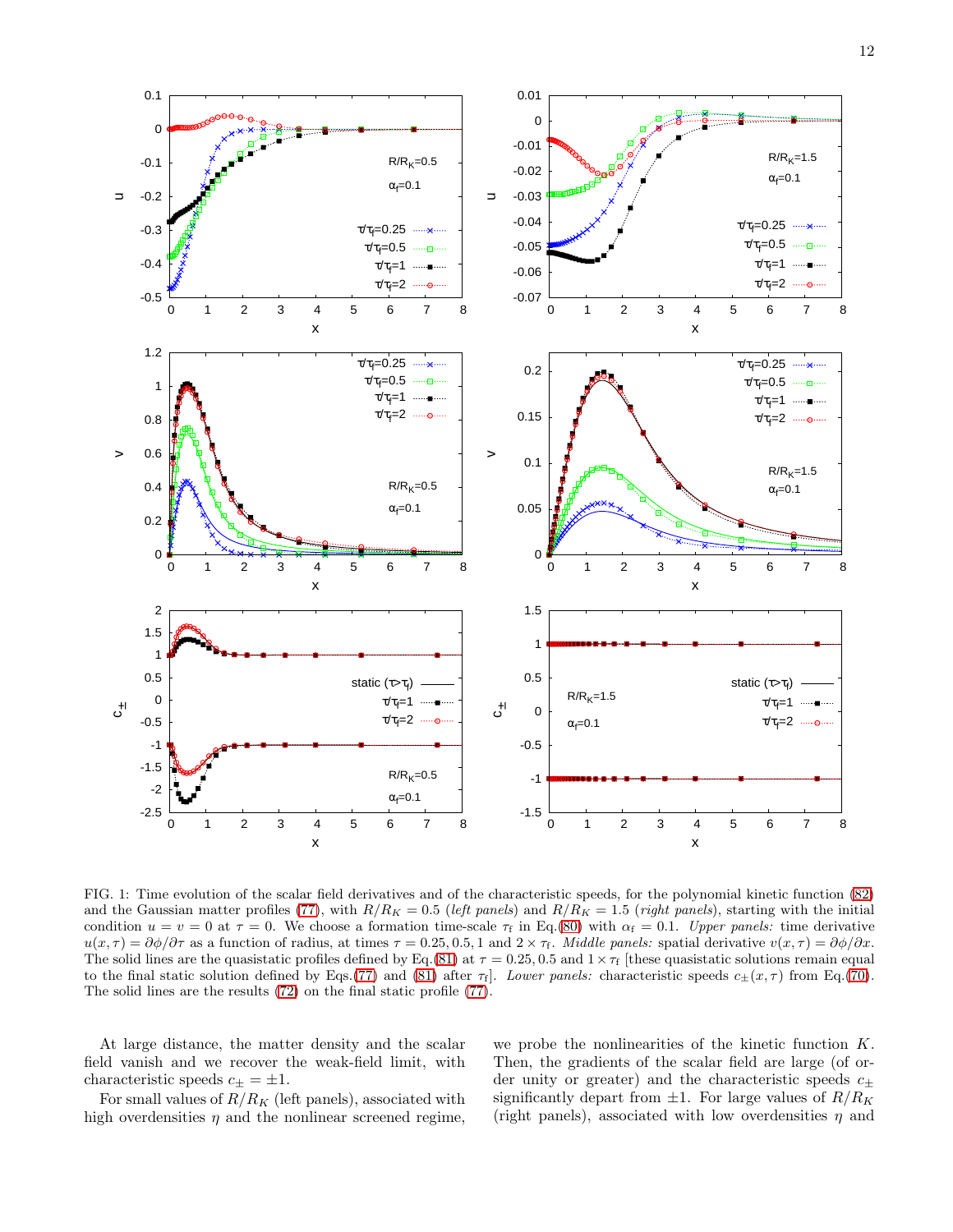

<span id="page-11-0"></span>FIG. 1: Time evolution of the scalar field derivatives and of the characteristic speeds, for the polynomial kinetic function [\(82\)](#page-10-5) and the Gaussian matter profiles [\(77\)](#page-10-1), with  $R/R_K = 0.5$  (*left panels*) and  $R/R_K = 1.5$  (*right panels*), starting with the initial condition  $u = v = 0$  at  $\tau = 0$ . We choose a formation time-scale  $\tau_f$  in Eq.[\(80\)](#page-10-3) with  $\alpha_f = 0.1$ . *Upper panels:* time derivative  $u(x,\tau) = \partial \phi/\partial \tau$  as a function of radius, at times  $\tau = 0.25, 0.5, 1$  and  $2 \times \tau_f$ . *Middle panels:* spatial derivative  $v(x,\tau) = \partial \phi/\partial x$ . The solid lines are the quasistatic profiles defined by Eq.[\(81\)](#page-10-4) at  $\tau = 0.25, 0.5$  and  $1 \times \tau_f$  [these quasistatic solutions remain equal to the final static solution defined by Eqs.[\(77\)](#page-10-1) and [\(81\)](#page-10-4) after  $\tau_f$ . *Lower panels:* characteristic speeds  $c_{\pm}(x,\tau)$  from Eq.[\(70\)](#page-9-3). The solid lines are the results [\(72\)](#page-9-4) on the final static profile [\(77\)](#page-10-1).

At large distance, the matter density and the scalar field vanish and we recover the weak-field limit, with characteristic speeds  $c_{\pm} = \pm 1$ .

For small values of  $R/R_K$  (left panels), associated with high overdensities  $\eta$  and the nonlinear screened regime,

we probe the nonlinearities of the kinetic function K. Then, the gradients of the scalar field are large (of order unity or greater) and the characteristic speeds  $c_{\pm}$ significantly depart from  $\pm 1$ . For large values of  $R/R_K$ (right panels), associated with low overdensities  $\eta$  and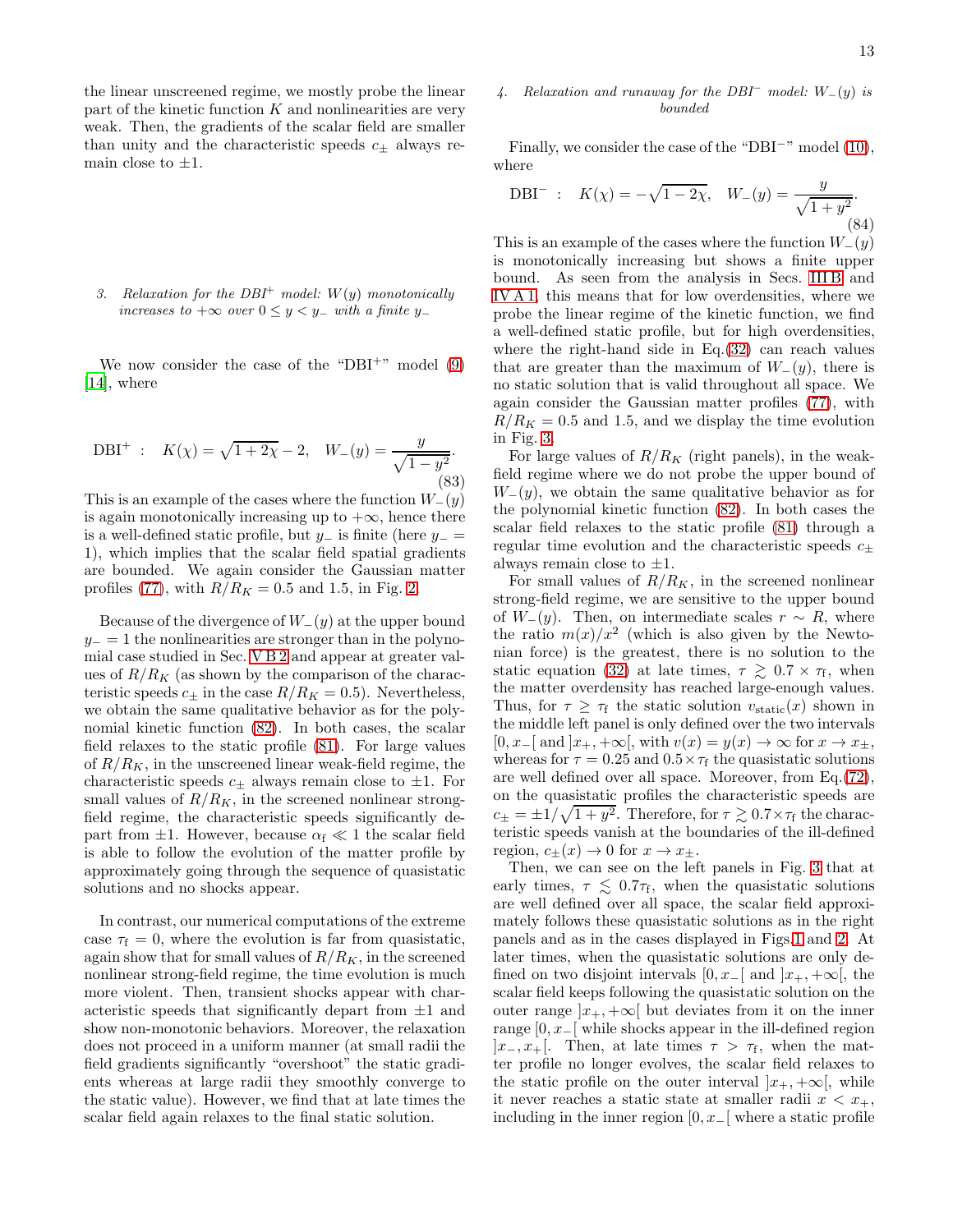the linear unscreened regime, we mostly probe the linear part of the kinetic function  $K$  and nonlinearities are very weak. Then, the gradients of the scalar field are smaller than unity and the characteristic speeds  $c_{\pm}$  always remain close to  $\pm 1$ .

<span id="page-12-3"></span>*3. Relaxation for the DBI*<sup>+</sup> *model:* W(y) *monotonically increases to*  $+\infty$  *over*  $0 \leq y < y_$ − *with a finite* y−

We now consider the case of the "DBI+" model  $(9)$ [\[14\]](#page-19-13), where

<span id="page-12-1"></span>DBI<sup>+</sup> : 
$$
K(\chi) = \sqrt{1 + 2\chi} - 2
$$
,  $W_{-}(y) = \frac{y}{\sqrt{1 - y^2}}$ . (83)

This is an example of the cases where the function  $W_-(y)$ is again monotonically increasing up to  $+\infty$ , hence there is a well-defined static profile, but  $y_$  is finite (here  $y_$  = 1), which implies that the scalar field spatial gradients are bounded. We again consider the Gaussian matter profiles [\(77\)](#page-10-1), with  $R/R_K = 0.5$  and 1.5, in Fig. [2.](#page-13-0)

Because of the divergence of  $W_-(y)$  at the upper bound  $y_$  = 1 the nonlinearities are stronger than in the polynomial case studied in Sec. [V B 2](#page-10-6) and appear at greater values of  $R/R_K$  (as shown by the comparison of the characteristic speeds  $c_{\pm}$  in the case  $R/R_K = 0.5$ ). Nevertheless, we obtain the same qualitative behavior as for the polynomial kinetic function [\(82\)](#page-10-5). In both cases, the scalar field relaxes to the static profile [\(81\)](#page-10-4). For large values of  $R/R_K$ , in the unscreened linear weak-field regime, the characteristic speeds  $c_{\pm}$  always remain close to  $\pm 1$ . For small values of  $R/R_K$ , in the screened nonlinear strongfield regime, the characteristic speeds significantly depart from  $\pm 1$ . However, because  $\alpha_f \ll 1$  the scalar field is able to follow the evolution of the matter profile by approximately going through the sequence of quasistatic solutions and no shocks appear.

In contrast, our numerical computations of the extreme case  $\tau_f = 0$ , where the evolution is far from quasistatic, again show that for small values of  $R/R_K$ , in the screened nonlinear strong-field regime, the time evolution is much more violent. Then, transient shocks appear with characteristic speeds that significantly depart from ±1 and show non-monotonic behaviors. Moreover, the relaxation does not proceed in a uniform manner (at small radii the field gradients significantly "overshoot" the static gradients whereas at large radii they smoothly converge to the static value). However, we find that at late times the scalar field again relaxes to the final static solution.

# <span id="page-12-0"></span>*4. Relaxation and runaway for the DBI*<sup>−</sup> *model:* W−(y) *is bounded*

Finally, we consider the case of the "DBI−" model [\(10\)](#page-2-8), where

<span id="page-12-2"></span>DBI<sup>-</sup> : 
$$
K(\chi) = -\sqrt{1 - 2\chi}
$$
,  $W_{-}(y) = \frac{y}{\sqrt{1 + y^2}}$ . (84)

This is an example of the cases where the function  $W_-(y)$ is monotonically increasing but shows a finite upper bound. As seen from the analysis in Secs. [III B](#page-3-2) and [IV A 1,](#page-7-2) this means that for low overdensities, where we probe the linear regime of the kinetic function, we find a well-defined static profile, but for high overdensities, where the right-hand side in Eq.[\(32\)](#page-4-2) can reach values that are greater than the maximum of  $W_-(y)$ , there is no static solution that is valid throughout all space. We again consider the Gaussian matter profiles [\(77\)](#page-10-1), with  $R/R_K = 0.5$  and 1.5, and we display the time evolution in Fig. [3.](#page-14-0)

For large values of  $R/R_K$  (right panels), in the weakfield regime where we do not probe the upper bound of  $W_-(y)$ , we obtain the same qualitative behavior as for the polynomial kinetic function [\(82\)](#page-10-5). In both cases the scalar field relaxes to the static profile [\(81\)](#page-10-4) through a regular time evolution and the characteristic speeds  $c_{\pm}$ always remain close to  $\pm 1$ .

For small values of  $R/R_K$ , in the screened nonlinear strong-field regime, we are sensitive to the upper bound of  $W_-(y)$ . Then, on intermediate scales  $r \sim R$ , where the ratio  $m(x)/x^2$  (which is also given by the Newtonian force) is the greatest, there is no solution to the static equation [\(32\)](#page-4-2) at late times,  $\tau \gtrsim 0.7 \times \tau_f$ , when the matter overdensity has reached large-enough values. Thus, for  $\tau \geq \tau_f$  the static solution  $v_{static}(x)$  shown in the middle left panel is only defined over the two intervals  $[0, x_-[$  and  $]x_+, +\infty[$ , with  $v(x) = y(x) \rightarrow \infty$  for  $x \rightarrow x_+$ , whereas for  $\tau = 0.25$  and  $0.5 \times \tau_f$  the quasistatic solutions are well defined over all space. Moreover, from Eq.[\(72\)](#page-9-4), on the quasistatic profiles the characteristic speeds are  $c_{\pm} = \pm 1/\sqrt{1 + y^2}$ . Therefore, for  $\tau \gtrsim 0.7 \times \tau_f$  the characteristic speeds vanish at the boundaries of the ill-defined region,  $c_{+}(x) \rightarrow 0$  for  $x \rightarrow x_{+}$ .

Then, we can see on the left panels in Fig. [3](#page-14-0) that at early times,  $\tau \lesssim 0.7\tau_{\text{f}}$ , when the quasistatic solutions are well defined over all space, the scalar field approximately follows these quasistatic solutions as in the right panels and as in the cases displayed in Figs[.1](#page-11-0) and [2.](#page-13-0) At later times, when the quasistatic solutions are only defined on two disjoint intervals  $[0, x_-\mathbb{I}]$  and  $[x_+, +\infty]$ , the scalar field keeps following the quasistatic solution on the outer range  $|x_+, +\infty|$  but deviates from it on the inner range  $[0, x_-\mathbb{I}]$  while shocks appear in the ill-defined region  $]x_-, x_+[$ . Then, at late times  $\tau > \tau_f$ , when the matter profile no longer evolves, the scalar field relaxes to the static profile on the outer interval  $|x_+, +\infty|$ , while it never reaches a static state at smaller radii  $x < x_+$ , including in the inner region  $[0, x_0]$  where a static profile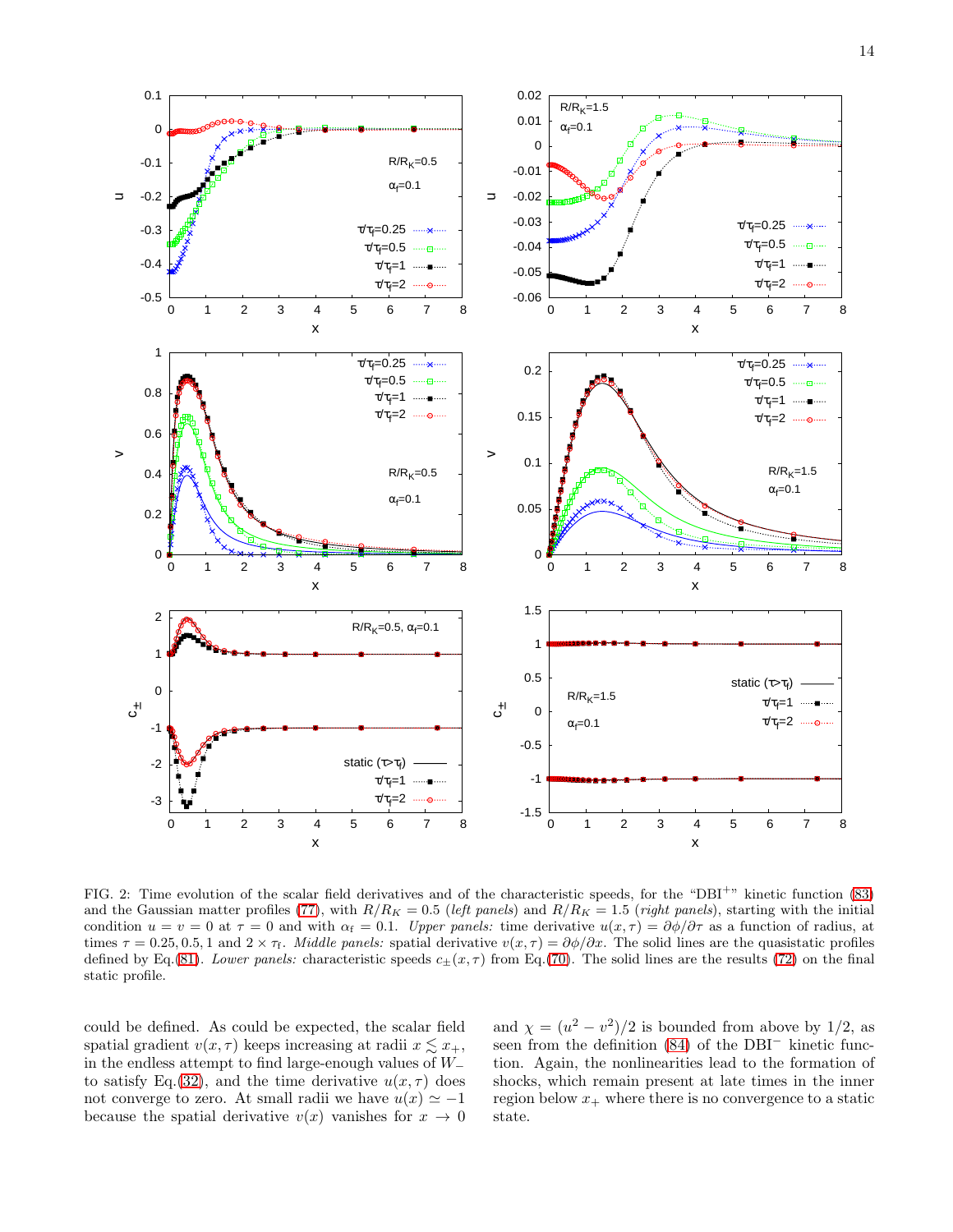

<span id="page-13-0"></span>FIG. 2: Time evolution of the scalar field derivatives and of the characteristic speeds, for the "DBI<sup>+</sup>" kinetic function [\(83\)](#page-12-1) and the Gaussian matter profiles [\(77\)](#page-10-1), with  $R/R_K = 0.5$  (*left panels*) and  $R/R_K = 1.5$  (*right panels*), starting with the initial condition  $u = v = 0$  at  $\tau = 0$  and with  $\alpha_f = 0.1$ . *Upper panels:* time derivative  $u(x, \tau) = \frac{\partial \phi}{\partial \tau}$  as a function of radius, at times  $\tau = 0.25, 0.5, 1$  and  $2 \times \tau_f$ . *Middle panels:* spatial derivative  $v(x, \tau) = \partial \phi / \partial x$ . The solid lines are the quasistatic profiles defined by Eq.[\(81\)](#page-10-4). *Lower panels:* characteristic speeds  $c_{\pm}(x,\tau)$  from Eq.[\(70\)](#page-9-3). The solid lines are the results [\(72\)](#page-9-4) on the final static profile.

could be defined. As could be expected, the scalar field spatial gradient  $v(x, \tau)$  keeps increasing at radii  $x \leq x_{+}$ , in the endless attempt to find large-enough values of W<sup>−</sup> to satisfy Eq.[\(32\)](#page-4-2), and the time derivative  $u(x, \tau)$  does not converge to zero. At small radii we have  $u(x) \simeq -1$ because the spatial derivative  $v(x)$  vanishes for  $x \to 0$ 

and  $\chi = (u^2 - v^2)/2$  is bounded from above by 1/2, as seen from the definition [\(84\)](#page-12-2) of the DBI<sup>−</sup> kinetic function. Again, the nonlinearities lead to the formation of shocks, which remain present at late times in the inner region below  $x_+$  where there is no convergence to a static state.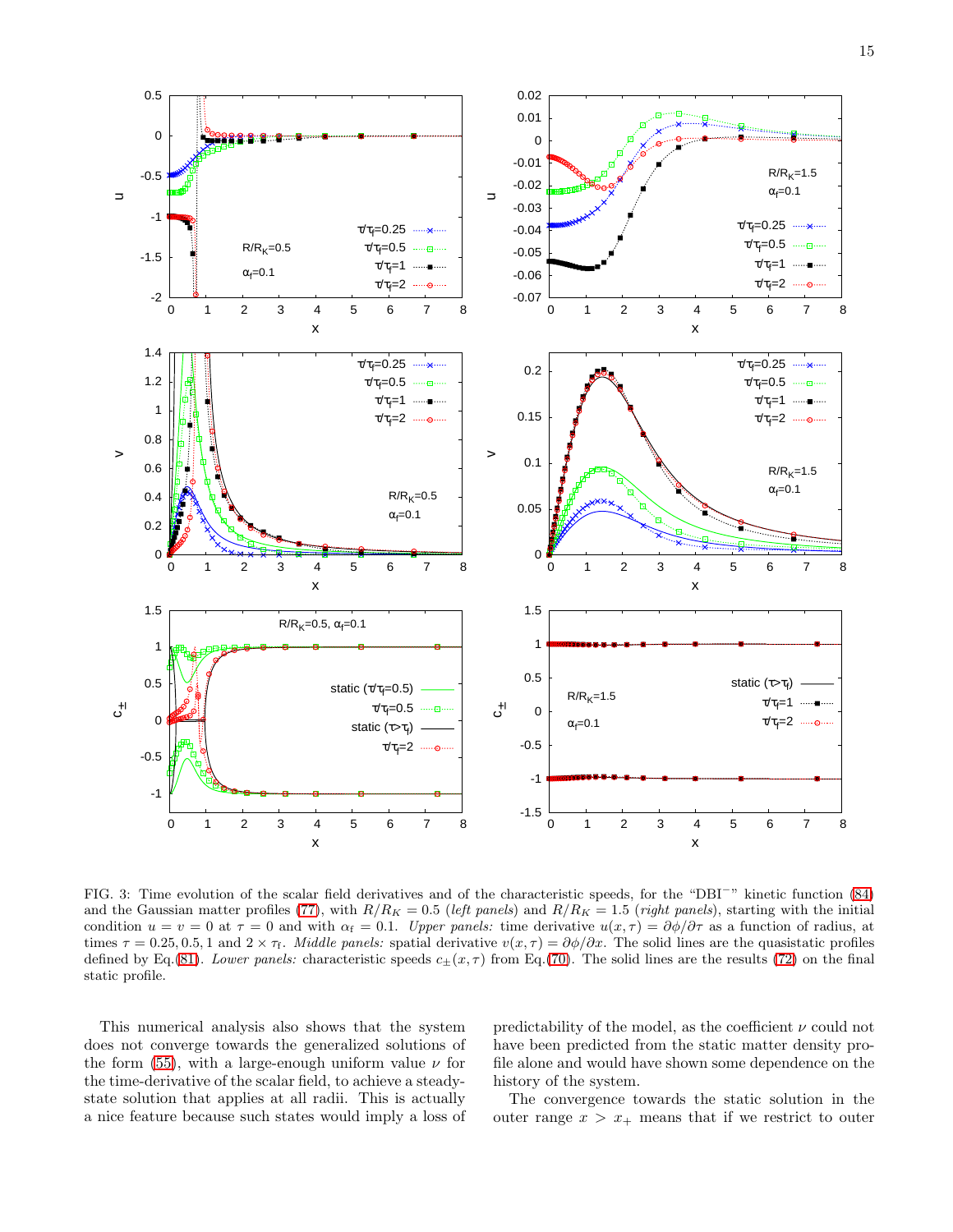

<span id="page-14-0"></span>FIG. 3: Time evolution of the scalar field derivatives and of the characteristic speeds, for the "DBI<sup>−</sup>" kinetic function [\(84\)](#page-12-2) and the Gaussian matter profiles [\(77\)](#page-10-1), with  $R/R_K = 0.5$  (*left panels*) and  $R/R_K = 1.5$  (*right panels*), starting with the initial condition  $u = v = 0$  at  $\tau = 0$  and with  $\alpha_f = 0.1$ . *Upper panels:* time derivative  $u(x, \tau) = \frac{\partial \phi}{\partial \tau}$  as a function of radius, at times  $\tau = 0.25, 0.5, 1$  and  $2 \times \tau_f$ . *Middle panels:* spatial derivative  $v(x, \tau) = \partial \phi / \partial x$ . The solid lines are the quasistatic profiles defined by Eq.[\(81\)](#page-10-4). *Lower panels:* characteristic speeds  $c_{\pm}(x,\tau)$  from Eq.[\(70\)](#page-9-3). The solid lines are the results [\(72\)](#page-9-4) on the final static profile.

This numerical analysis also shows that the system does not converge towards the generalized solutions of the form [\(55\)](#page-7-3), with a large-enough uniform value  $\nu$  for the time-derivative of the scalar field, to achieve a steadystate solution that applies at all radii. This is actually a nice feature because such states would imply a loss of predictability of the model, as the coefficient  $\nu$  could not have been predicted from the static matter density profile alone and would have shown some dependence on the history of the system.

The convergence towards the static solution in the outer range  $x > x_+$  means that if we restrict to outer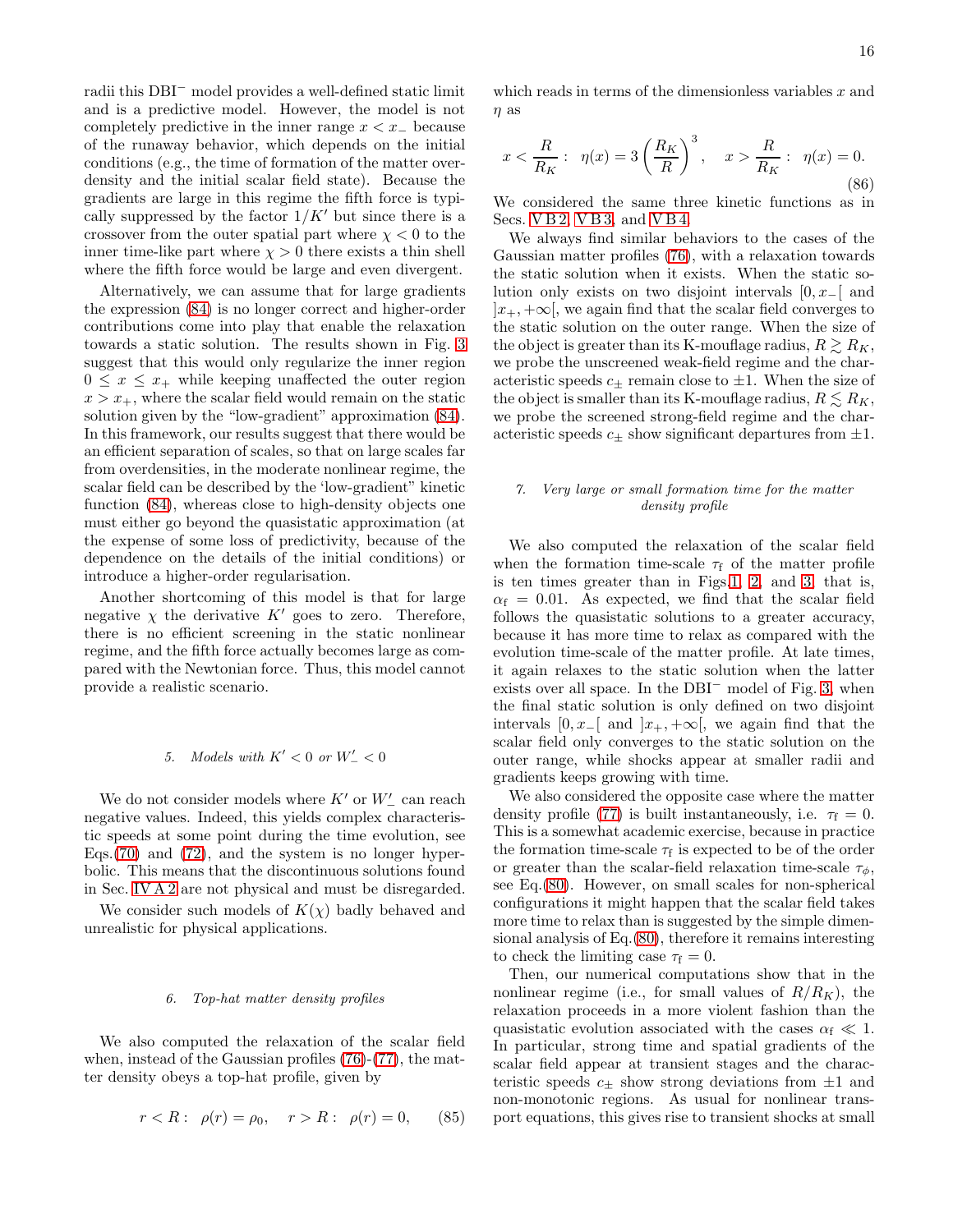radii this DBI<sup>−</sup> model provides a well-defined static limit and is a predictive model. However, the model is not completely predictive in the inner range  $x \leq x_-\,$  because of the runaway behavior, which depends on the initial conditions (e.g., the time of formation of the matter overdensity and the initial scalar field state). Because the gradients are large in this regime the fifth force is typically suppressed by the factor  $1/K'$  but since there is a crossover from the outer spatial part where  $\chi < 0$  to the inner time-like part where  $\chi > 0$  there exists a thin shell where the fifth force would be large and even divergent.

Alternatively, we can assume that for large gradients the expression [\(84\)](#page-12-2) is no longer correct and higher-order contributions come into play that enable the relaxation towards a static solution. The results shown in Fig. [3](#page-14-0) suggest that this would only regularize the inner region  $0 \leq x \leq x_{+}$  while keeping unaffected the outer region  $x > x_+$ , where the scalar field would remain on the static solution given by the "low-gradient" approximation [\(84\)](#page-12-2). In this framework, our results suggest that there would be an efficient separation of scales, so that on large scales far from overdensities, in the moderate nonlinear regime, the scalar field can be described by the 'low-gradient" kinetic function [\(84\)](#page-12-2), whereas close to high-density objects one must either go beyond the quasistatic approximation (at the expense of some loss of predictivity, because of the dependence on the details of the initial conditions) or introduce a higher-order regularisation.

Another shortcoming of this model is that for large negative  $\chi$  the derivative  $K'$  goes to zero. Therefore, there is no efficient screening in the static nonlinear regime, and the fifth force actually becomes large as compared with the Newtonian force. Thus, this model cannot provide a realistic scenario.

# *5. Models with*  $K' < 0$  *or*  $W'_{-} < 0$

We do not consider models where  $K^\prime$  or  $W^\prime_-$  can reach negative values. Indeed, this yields complex characteristic speeds at some point during the time evolution, see Eqs.[\(70\)](#page-9-3) and [\(72\)](#page-9-4), and the system is no longer hyperbolic. This means that the discontinuous solutions found in Sec. [IV A 2](#page-7-4) are not physical and must be disregarded.

We consider such models of  $K(\chi)$  badly behaved and unrealistic for physical applications.

# *6. Top-hat matter density profiles*

We also computed the relaxation of the scalar field when, instead of the Gaussian profiles [\(76\)](#page-10-0)-[\(77\)](#page-10-1), the matter density obeys a top-hat profile, given by

$$
r < R: \ \rho(r) = \rho_0, \quad r > R: \ \rho(r) = 0, \tag{85}
$$

which reads in terms of the dimensionless variables  $x$  and  $\eta$  as

$$
x < \frac{R}{R_K}
$$
:  $\eta(x) = 3 \left(\frac{R_K}{R}\right)^3$ ,  $x > \frac{R}{R_K}$ :  $\eta(x) = 0$ . (86)

We considered the same three kinetic functions as in Secs. [V B 2,](#page-10-6) [V B 3,](#page-12-3) and [V B 4.](#page-12-0)

We always find similar behaviors to the cases of the Gaussian matter profiles [\(76\)](#page-10-0), with a relaxation towards the static solution when it exists. When the static solution only exists on two disjoint intervals  $[0, x_0]$  and  $|x_+, +\infty|$ , we again find that the scalar field converges to the static solution on the outer range. When the size of the object is greater than its K-mouflage radius,  $R \geq R_K$ , we probe the unscreened weak-field regime and the characteristic speeds  $c_{+}$  remain close to  $\pm 1$ . When the size of the object is smaller than its K-mouflage radius,  $R \leq R_K$ , we probe the screened strong-field regime and the characteristic speeds  $c_{\pm}$  show significant departures from  $\pm 1$ .

# *7. Very large or small formation time for the matter density profile*

We also computed the relaxation of the scalar field when the formation time-scale  $\tau_{\rm f}$  of the matter profile is ten times greater than in Figs[.1,](#page-11-0) [2,](#page-13-0) and [3,](#page-14-0) that is,  $\alpha_f = 0.01$ . As expected, we find that the scalar field follows the quasistatic solutions to a greater accuracy, because it has more time to relax as compared with the evolution time-scale of the matter profile. At late times, it again relaxes to the static solution when the latter exists over all space. In the DBI<sup>−</sup> model of Fig. [3,](#page-14-0) when the final static solution is only defined on two disjoint intervals  $[0, x_-[$  and  $]x_+, +\infty[$ , we again find that the scalar field only converges to the static solution on the outer range, while shocks appear at smaller radii and gradients keeps growing with time.

We also considered the opposite case where the matter density profile [\(77\)](#page-10-1) is built instantaneously, i.e.  $\tau_f = 0$ . This is a somewhat academic exercise, because in practice the formation time-scale  $\tau_f$  is expected to be of the order or greater than the scalar-field relaxation time-scale  $\tau_{\phi}$ , see Eq.[\(80\)](#page-10-3). However, on small scales for non-spherical configurations it might happen that the scalar field takes more time to relax than is suggested by the simple dimensional analysis of Eq.[\(80\)](#page-10-3), therefore it remains interesting to check the limiting case  $\tau_f = 0$ .

Then, our numerical computations show that in the nonlinear regime (i.e., for small values of  $R/R_K$ ), the relaxation proceeds in a more violent fashion than the quasistatic evolution associated with the cases  $\alpha_f \ll 1$ . In particular, strong time and spatial gradients of the scalar field appear at transient stages and the characteristic speeds  $c_{+}$  show strong deviations from  $\pm 1$  and non-monotonic regions. As usual for nonlinear transport equations, this gives rise to transient shocks at small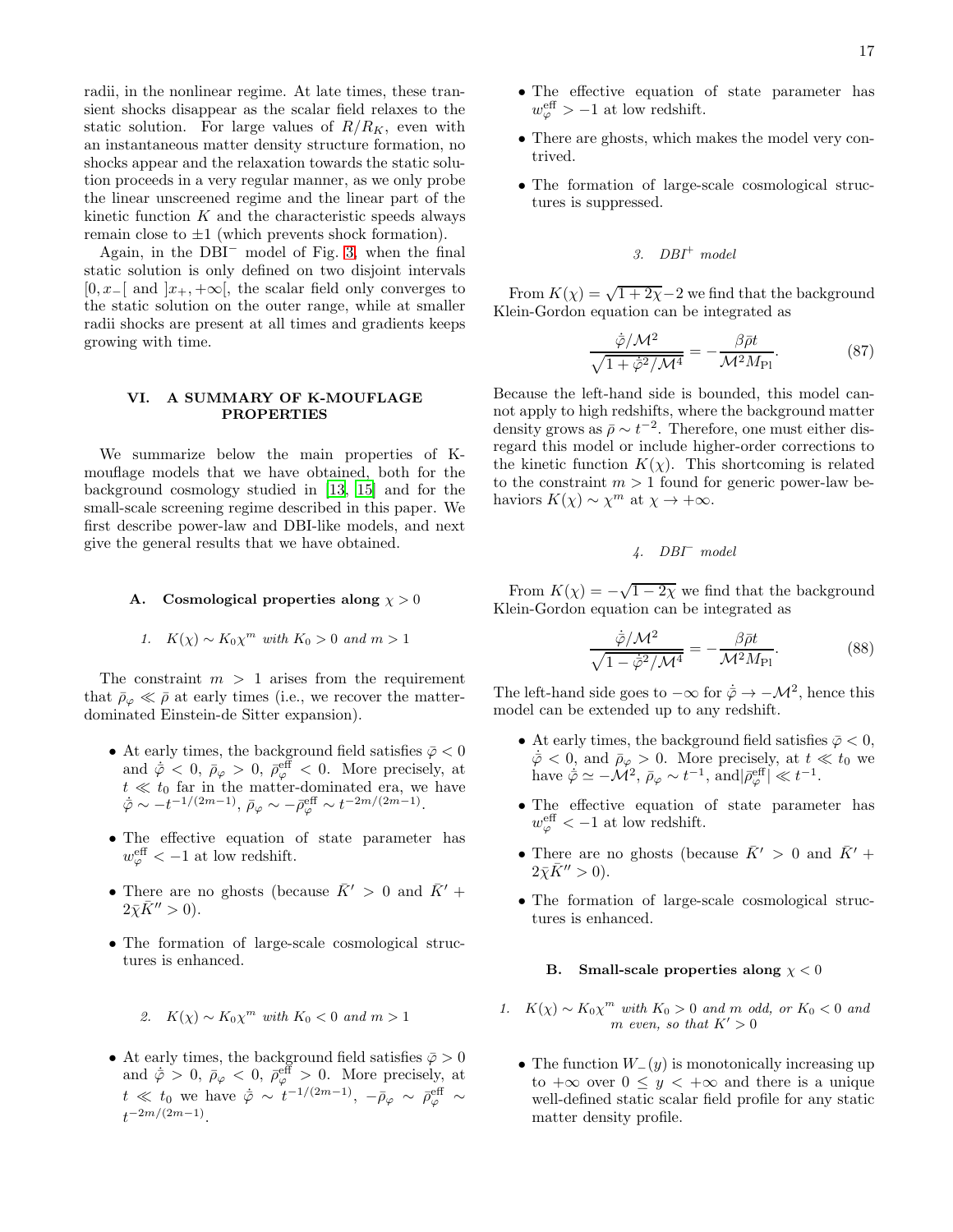radii, in the nonlinear regime. At late times, these transient shocks disappear as the scalar field relaxes to the static solution. For large values of  $R/R_K$ , even with an instantaneous matter density structure formation, no shocks appear and the relaxation towards the static solution proceeds in a very regular manner, as we only probe the linear unscreened regime and the linear part of the kinetic function  $K$  and the characteristic speeds always remain close to  $\pm 1$  (which prevents shock formation).

Again, in the DBI<sup>−</sup> model of Fig. [3,](#page-14-0) when the final static solution is only defined on two disjoint intervals  $[0, x_-\mathbb{I}]$  and  $[x_+, +\infty]$ , the scalar field only converges to the static solution on the outer range, while at smaller radii shocks are present at all times and gradients keeps growing with time.

### VI. A SUMMARY OF K-MOUFLAGE PROPERTIES

We summarize below the main properties of Kmouflage models that we have obtained, both for the background cosmology studied in [\[13,](#page-19-12) [15\]](#page-19-14) and for the small-scale screening regime described in this paper. We first describe power-law and DBI-like models, and next give the general results that we have obtained.

#### A. Cosmological properties along  $\chi > 0$

1. 
$$
K(\chi) \sim K_0 \chi^m
$$
 with  $K_0 > 0$  and  $m > 1$ 

The constraint  $m > 1$  arises from the requirement that  $\bar{\rho}_{\varphi} \ll \bar{\rho}$  at early times (i.e., we recover the matterdominated Einstein-de Sitter expansion).

- $\bullet$  At early times, the background field satisfies  $\bar{\varphi}<0$ and  $\dot{\bar{\varphi}} < 0$ ,  $\bar{\rho}_{\varphi} > 0$ ,  $\bar{\rho}_{\varphi}^{\text{eff}} < 0$ . More precisely, at  $t \ll t_0$  far in the matter-dominated era, we have  $\overline{\varphi} \sim -t^{-1/(2m-1)}, \overline{\rho}_{\varphi} \sim -\overline{\rho}_{\varphi}^{\text{eff}} \sim t^{-2m/(2m-1)}.$
- The effective equation of state parameter has  $w_{\varphi}^{\text{eff}} < -1$  at low redshift.
- There are no ghosts (because  $\bar{K}' > 0$  and  $\bar{K}' +$  $2\bar{\chi}\bar{K}^{\prime\prime} > 0$ ).
- The formation of large-scale cosmological structures is enhanced.

• At early times, the background field satisfies  $\bar{\varphi} > 0$ and  $\dot{\bar{\varphi}} > 0$ ,  $\bar{\rho}_{\varphi} < 0$ ,  $\bar{\rho}_{\varphi}^{\text{eff}} > 0$ . More precisely, at  $t \ll t_0$  we have  $\dot{\bar{\varphi}} \sim t^{-1/(2m-1)}, -\bar{\rho}_{\varphi} \sim \bar{\rho}_{\varphi}^{\text{eff}} \sim$  $t^{-2m/(2m-1)}$ .

- The effective equation of state parameter has  $w_{\varphi}^{\text{eff}} > -1$  at low redshift.
- There are ghosts, which makes the model very contrived.
- The formation of large-scale cosmological structures is suppressed.

$$
3. \quad DBI^+ \ model
$$

From  $K(\chi) = \sqrt{1+2\chi}-2$  we find that the background Klein-Gordon equation can be integrated as

$$
\frac{\dot{\overline{\varphi}}/\mathcal{M}^2}{\sqrt{1+\dot{\overline{\varphi}}^2/\mathcal{M}^4}} = -\frac{\beta \overline{\rho}t}{\mathcal{M}^2 M_{\text{Pl}}}.\tag{87}
$$

Because the left-hand side is bounded, this model cannot apply to high redshifts, where the background matter density grows as  $\bar{\rho} \sim t^{-2}$ . Therefore, one must either disregard this model or include higher-order corrections to the kinetic function  $K(\chi)$ . This shortcoming is related to the constraint  $m > 1$  found for generic power-law behaviors  $K(\chi) \sim \chi^m$  at  $\chi \to +\infty$ .

# *4. DBI*<sup>−</sup> *model*

From  $K(\chi) = -\sqrt{1-2\chi}$  we find that the background Klein-Gordon equation can be integrated as

$$
\frac{\dot{\bar{\varphi}}/\mathcal{M}^2}{\sqrt{1-\dot{\bar{\varphi}}^2/\mathcal{M}^4}} = -\frac{\beta \bar{\rho}t}{\mathcal{M}^2 M_{\text{Pl}}}.\tag{88}
$$

The left-hand side goes to  $-\infty$  for  $\dot{\varphi} \to -\mathcal{M}^2$ , hence this model can be extended up to any redshift.

- At early times, the background field satisfies  $\bar{\varphi}$  < 0,  $\bar{\varphi}$  < 0, and  $\bar{\rho}_{\varphi} > 0$ . More precisely, at  $t \ll t_0$  we have  $\dot{\bar{\varphi}} \simeq -\mathcal{M}^2$ ,  $\bar{\rho}_{\varphi} \sim t^{-1}$ , and  $|\bar{\rho}_{\varphi}^{\text{eff}}| \ll t^{-1}$ .
- The effective equation of state parameter has  $w_{\varphi}^{\text{eff}} < -1$  at low redshift.
- There are no ghosts (because  $\bar{K}^{\prime} > 0$  and  $\bar{K}^{\prime}$  +  $2\bar{\chi}\bar{K}^{\prime\prime} > 0$ ).
- The formation of large-scale cosmological structures is enhanced.

### B. Small-scale properties along  $\chi < 0$

- *1.*  $K(\chi) \sim K_0 \chi^m$  *with*  $K_0 > 0$  *and m odd, or*  $K_0 < 0$  *and*  $m$  *even, so that*  $K' > 0$ 
	- The function  $W_-(y)$  is monotonically increasing up to  $+\infty$  over  $0 \leq y < +\infty$  and there is a unique well-defined static scalar field profile for any static matter density profile.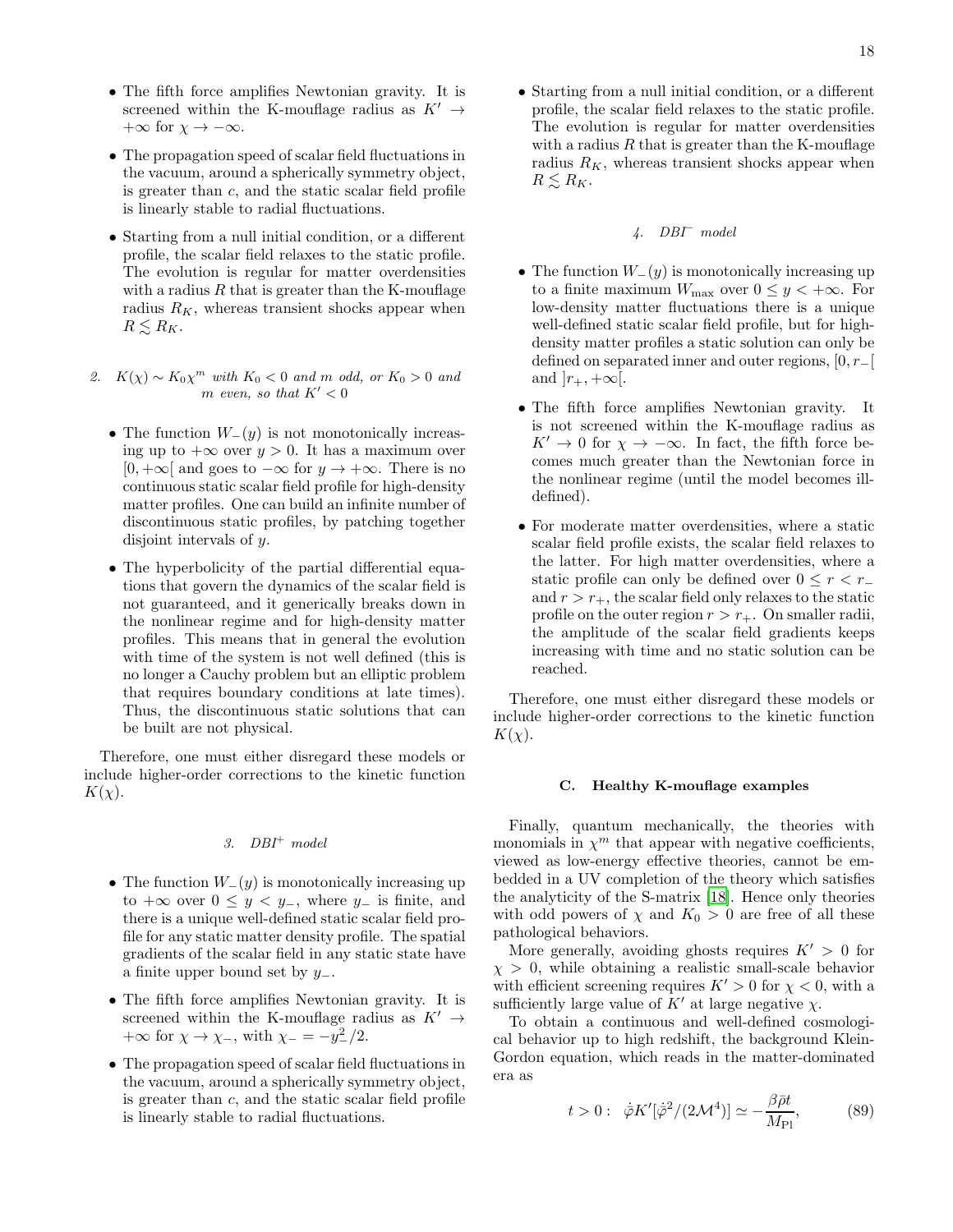- The fifth force amplifies Newtonian gravity. It is screened within the K-mouflage radius as  $K' \rightarrow$ + $\infty$  for  $\chi \to -\infty$ .
- The propagation speed of scalar field fluctuations in the vacuum, around a spherically symmetry object, is greater than c, and the static scalar field profile is linearly stable to radial fluctuations.
- Starting from a null initial condition, or a different profile, the scalar field relaxes to the static profile. The evolution is regular for matter overdensities with a radius  $R$  that is greater than the K-mouflage radius  $R_K$ , whereas transient shocks appear when  $R \leq R_K$ .
- 2.  $K(\chi) \sim K_0 \chi^m$  *with*  $K_0 < 0$  *and m odd, or*  $K_0 > 0$  *and* m *even, so that*  $K' < 0$ 
	- The function  $W_-(y)$  is not monotonically increasing up to  $+\infty$  over  $y > 0$ . It has a maximum over  $[0, +\infty]$  and goes to  $-\infty$  for  $y \to +\infty$ . There is no continuous static scalar field profile for high-density matter profiles. One can build an infinite number of discontinuous static profiles, by patching together disjoint intervals of y.
	- The hyperbolicity of the partial differential equations that govern the dynamics of the scalar field is not guaranteed, and it generically breaks down in the nonlinear regime and for high-density matter profiles. This means that in general the evolution with time of the system is not well defined (this is no longer a Cauchy problem but an elliptic problem that requires boundary conditions at late times). Thus, the discontinuous static solutions that can be built are not physical.

Therefore, one must either disregard these models or include higher-order corrections to the kinetic function  $K(\chi)$ .

# *3. DBI*<sup>+</sup> *model*

- The function  $W_-(y)$  is monotonically increasing up to  $+\infty$  over  $0 \leq y < y_-,$ , where  $y_$  is finite, and there is a unique well-defined static scalar field profile for any static matter density profile. The spatial gradients of the scalar field in any static state have a finite upper bound set by  $y_$ .
- The fifth force amplifies Newtonian gravity. It is screened within the K-mouflage radius as  $K' \rightarrow$  $+\infty$  for  $\chi \to \chi_{-}$ , with  $\chi_{-} = -y_{-}^{2}/2$ .
- The propagation speed of scalar field fluctuations in the vacuum, around a spherically symmetry object, is greater than c, and the static scalar field profile is linearly stable to radial fluctuations.

• Starting from a null initial condition, or a different profile, the scalar field relaxes to the static profile. The evolution is regular for matter overdensities with a radius  $R$  that is greater than the K-mouflage radius  $R_K$ , whereas transient shocks appear when  $R \lesssim R_K$ .

# *4. DBI*<sup>−</sup> *model*

- The function  $W_-(y)$  is monotonically increasing up to a finite maximum  $W_{\text{max}}$  over  $0 \leq y < +\infty$ . For low-density matter fluctuations there is a unique well-defined static scalar field profile, but for highdensity matter profiles a static solution can only be defined on separated inner and outer regions,  $[0, r_$ [ and  $|r_+, +\infty|$ .
- The fifth force amplifies Newtonian gravity. It is not screened within the K-mouflage radius as  $K' \to 0$  for  $\chi \to -\infty$ . In fact, the fifth force becomes much greater than the Newtonian force in the nonlinear regime (until the model becomes illdefined).
- For moderate matter overdensities, where a static scalar field profile exists, the scalar field relaxes to the latter. For high matter overdensities, where a static profile can only be defined over  $0 \leq r < r_+$ and  $r > r_{+}$ , the scalar field only relaxes to the static profile on the outer region  $r > r_{+}$ . On smaller radii, the amplitude of the scalar field gradients keeps increasing with time and no static solution can be reached.

Therefore, one must either disregard these models or include higher-order corrections to the kinetic function  $K(\chi)$ .

#### C. Healthy K-mouflage examples

Finally, quantum mechanically, the theories with monomials in  $\chi^m$  that appear with negative coefficients, viewed as low-energy effective theories, cannot be embedded in a UV completion of the theory which satisfies the analyticity of the S-matrix [\[18\]](#page-19-17). Hence only theories with odd powers of  $\chi$  and  $K_0 > 0$  are free of all these pathological behaviors.

More generally, avoiding ghosts requires  $K' > 0$  for  $\chi > 0$ , while obtaining a realistic small-scale behavior with efficient screening requires  $K' > 0$  for  $\chi < 0$ , with a sufficiently large value of  $K'$  at large negative  $\chi$ .

To obtain a continuous and well-defined cosmological behavior up to high redshift, the background Klein-Gordon equation, which reads in the matter-dominated era as

$$
t > 0: \quad \dot{\bar{\varphi}} K'[\dot{\bar{\varphi}}^2/(2\mathcal{M}^4)] \simeq -\frac{\beta \bar{\rho} t}{M_{\text{Pl}}},\tag{89}
$$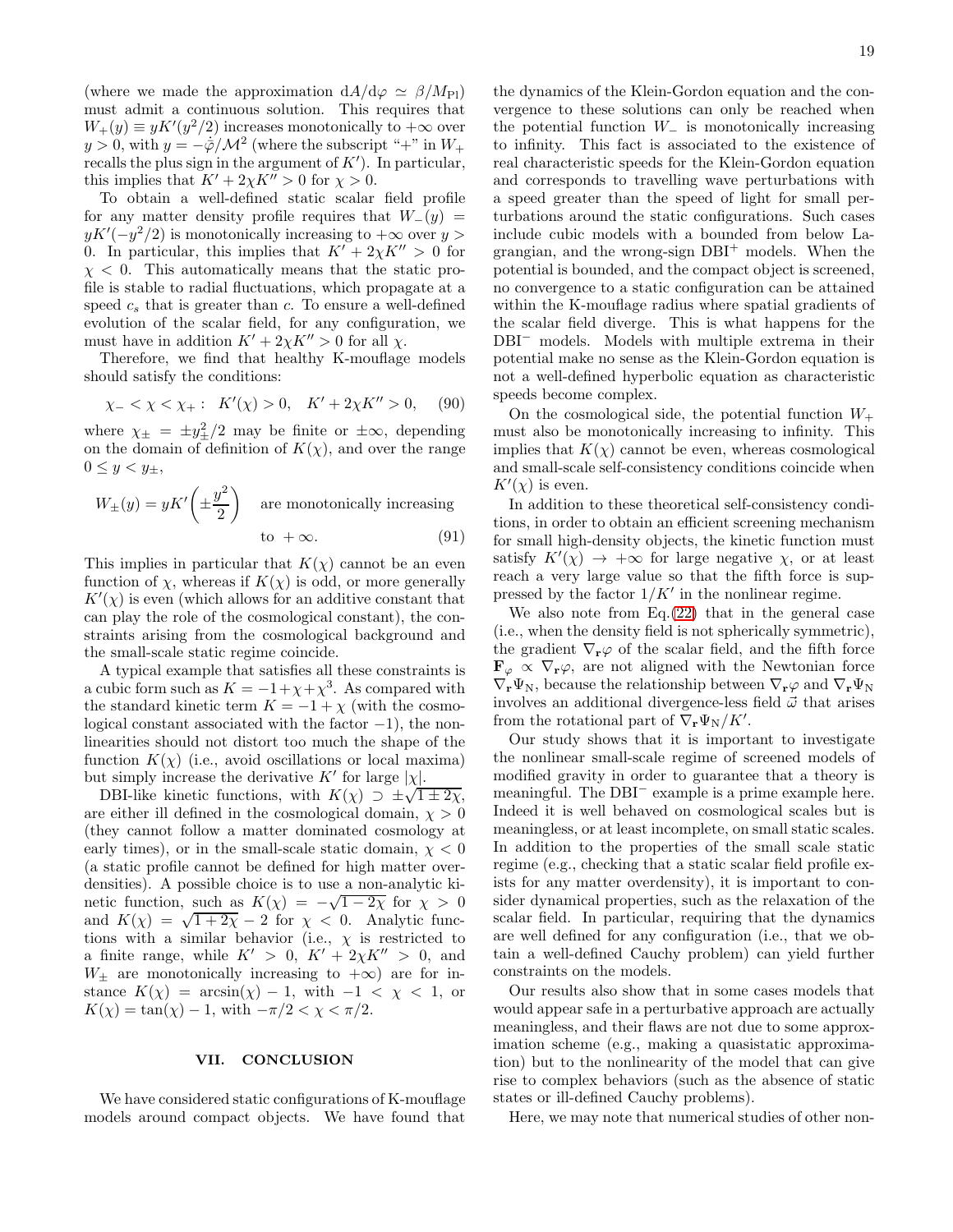(where we made the approximation  $dA/d\varphi \simeq \beta/M_{\rm Pl}$ ) must admit a continuous solution. This requires that  $W_+(y) \equiv yK'(y^2/2)$  increases monotonically to  $+\infty$  over  $y > 0$ , with  $y = -\frac{\dot{\varphi}}{M^2}$  (where the subscript "+" in  $W_+$ recalls the plus sign in the argument of  $K'$ ). In particular, this implies that  $K' + 2\chi K'' > 0$  for  $\chi > 0$ .

To obtain a well-defined static scalar field profile for any matter density profile requires that  $W_-(y)$  =  $yK'(-y^2/2)$  is monotonically increasing to  $+\infty$  over  $y >$ 0. In particular, this implies that  $K' + 2\chi K'' > 0$  for  $\chi$  < 0. This automatically means that the static profile is stable to radial fluctuations, which propagate at a speed  $c_s$  that is greater than c. To ensure a well-defined evolution of the scalar field, for any configuration, we must have in addition  $K' + 2\chi K'' > 0$  for all  $\chi$ .

Therefore, we find that healthy K-mouflage models should satisfy the conditions:

$$
\chi_- < \chi < \chi_+ : K'(\chi) > 0, \quad K' + 2\chi K'' > 0,\tag{90}
$$

where  $\chi_{\pm} = \pm y_{\pm}^2/2$  may be finite or  $\pm \infty$ , depending on the domain of definition of  $K(\chi)$ , and over the range  $0 \leq y < y_{\pm},$ 

$$
W_{\pm}(y) = yK'\left(\pm \frac{y^2}{2}\right) \quad \text{are monotonically increasing} \quad \text{to } +\infty. \tag{91}
$$

This implies in particular that  $K(\chi)$  cannot be an even function of  $\chi$ , whereas if  $K(\chi)$  is odd, or more generally  $K'(\chi)$  is even (which allows for an additive constant that can play the role of the cosmological constant), the constraints arising from the cosmological background and the small-scale static regime coincide.

A typical example that satisfies all these constraints is a cubic form such as  $K = -1 + \chi + \chi^3$ . As compared with the standard kinetic term  $K = -1 + \chi$  (with the cosmological constant associated with the factor  $-1$ ), the nonlinearities should not distort too much the shape of the function  $K(\chi)$  (i.e., avoid oscillations or local maxima) but simply increase the derivative  $K'$  for large  $|\chi|$ .

DBI-like kinetic functions, with  $K(\chi) \supset \pm \sqrt{1 \pm 2\chi}$ , are either ill defined in the cosmological domain,  $\chi > 0$ (they cannot follow a matter dominated cosmology at early times), or in the small-scale static domain,  $\chi < 0$ (a static profile cannot be defined for high matter overdensities). A possible choice is to use a non-analytic kinetic function, such as  $K(\chi) = -\sqrt{1-2\chi}$  for  $\chi > 0$ and  $K(\chi) = \sqrt{1+2\chi} - 2$  for  $\chi < 0$ . Analytic functions with a similar behavior (i.e.,  $\chi$  is restricted to a finite range, while  $K' > 0$ ,  $K' + 2\chi K'' > 0$ , and  $W_{\pm}$  are monotonically increasing to  $+\infty$ ) are for instance  $K(\chi) = \arcsin(\chi) - 1$ , with  $-1 < \chi < 1$ , or  $K(\chi) = \tan(\chi) - 1$ , with  $-\pi/2 < \chi < \pi/2$ .

# VII. CONCLUSION

We have considered static configurations of K-mouflage models around compact objects. We have found that

the dynamics of the Klein-Gordon equation and the convergence to these solutions can only be reached when the potential function  $W_-\;$  is monotonically increasing to infinity. This fact is associated to the existence of real characteristic speeds for the Klein-Gordon equation and corresponds to travelling wave perturbations with a speed greater than the speed of light for small perturbations around the static configurations. Such cases include cubic models with a bounded from below Lagrangian, and the wrong-sign DBI<sup>+</sup> models. When the potential is bounded, and the compact object is screened, no convergence to a static configuration can be attained within the K-mouflage radius where spatial gradients of the scalar field diverge. This is what happens for the DBI<sup>−</sup> models. Models with multiple extrema in their potential make no sense as the Klein-Gordon equation is not a well-defined hyperbolic equation as characteristic speeds become complex.

On the cosmological side, the potential function  $W_+$ must also be monotonically increasing to infinity. This implies that  $K(\chi)$  cannot be even, whereas cosmological and small-scale self-consistency conditions coincide when  $K'(\chi)$  is even.

In addition to these theoretical self-consistency conditions, in order to obtain an efficient screening mechanism for small high-density objects, the kinetic function must satisfy  $K'(\chi) \rightarrow +\infty$  for large negative  $\chi$ , or at least reach a very large value so that the fifth force is suppressed by the factor  $1/K'$  in the nonlinear regime.

We also note from Eq.[\(22\)](#page-3-3) that in the general case (i.e., when the density field is not spherically symmetric), the gradient  $\nabla_{\mathbf{r}}\varphi$  of the scalar field, and the fifth force  $\mathbf{F}_{\varphi} \propto \nabla_{\mathbf{r}} \varphi$ , are not aligned with the Newtonian force  $\nabla_{\mathbf{r}}\Psi_{N}$ , because the relationship between  $\nabla_{\mathbf{r}}\varphi$  and  $\nabla_{\mathbf{r}}\Psi_{N}$ involves an additional divergence-less field  $\vec{\omega}$  that arises from the rotational part of  $\nabla_{\mathbf{r}} \Psi_{N}/K'$ .

Our study shows that it is important to investigate the nonlinear small-scale regime of screened models of modified gravity in order to guarantee that a theory is meaningful. The DBI<sup>−</sup> example is a prime example here. Indeed it is well behaved on cosmological scales but is meaningless, or at least incomplete, on small static scales. In addition to the properties of the small scale static regime (e.g., checking that a static scalar field profile exists for any matter overdensity), it is important to consider dynamical properties, such as the relaxation of the scalar field. In particular, requiring that the dynamics are well defined for any configuration (i.e., that we obtain a well-defined Cauchy problem) can yield further constraints on the models.

Our results also show that in some cases models that would appear safe in a perturbative approach are actually meaningless, and their flaws are not due to some approximation scheme (e.g., making a quasistatic approximation) but to the nonlinearity of the model that can give rise to complex behaviors (such as the absence of static states or ill-defined Cauchy problems).

Here, we may note that numerical studies of other non-